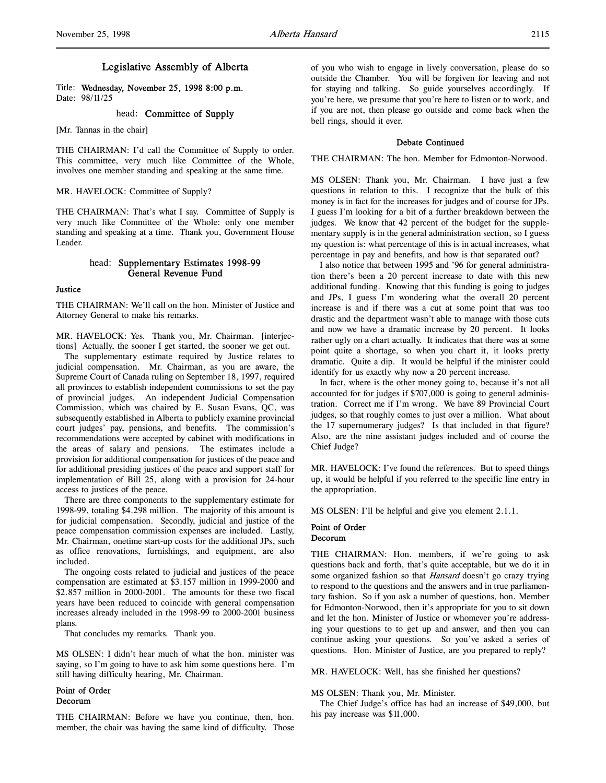# Legislative Assembly of Alberta

Title: Wednesday, November 25, 1998 8:00 p.m. Date: 98/11/25

# head: Committee of Supply

[Mr. Tannas in the chair]

THE CHAIRMAN: I'd call the Committee of Supply to order. This committee, very much like Committee of the Whole, involves one member standing and speaking at the same time.

MR. HAVELOCK: Committee of Supply?

THE CHAIRMAN: That's what I say. Committee of Supply is very much like Committee of the Whole: only one member standing and speaking at a time. Thank you, Government House Leader.

# head: Supplementary Estimates 1998-99 General Revenue Fund

#### **Justice**

THE CHAIRMAN: We'll call on the hon. Minister of Justice and Attorney General to make his remarks.

MR. HAVELOCK: Yes. Thank you, Mr. Chairman. [interjections] Actually, the sooner I get started, the sooner we get out.

The supplementary estimate required by Justice relates to judicial compensation. Mr. Chairman, as you are aware, the Supreme Court of Canada ruling on September 18, 1997, required all provinces to establish independent commissions to set the pay of provincial judges. An independent Judicial Compensation Commission, which was chaired by E. Susan Evans, QC, was subsequently established in Alberta to publicly examine provincial court judges' pay, pensions, and benefits. The commission's recommendations were accepted by cabinet with modifications in the areas of salary and pensions. The estimates include a provision for additional compensation for justices of the peace and for additional presiding justices of the peace and support staff for implementation of Bill 25, along with a provision for 24-hour access to justices of the peace.

There are three components to the supplementary estimate for 1998-99, totaling \$4.298 million. The majority of this amount is for judicial compensation. Secondly, judicial and justice of the peace compensation commission expenses are included. Lastly, Mr. Chairman, onetime start-up costs for the additional JPs, such as office renovations, furnishings, and equipment, are also included.

The ongoing costs related to judicial and justices of the peace compensation are estimated at \$3.157 million in 1999-2000 and \$2.857 million in 2000-2001. The amounts for these two fiscal years have been reduced to coincide with general compensation increases already included in the 1998-99 to 2000-2001 business plans.

That concludes my remarks. Thank you.

MS OLSEN: I didn't hear much of what the hon. minister was saying, so I'm going to have to ask him some questions here. I'm still having difficulty hearing, Mr. Chairman.

# Point of Order Decorum

THE CHAIRMAN: Before we have you continue, then, hon. member, the chair was having the same kind of difficulty. Those of you who wish to engage in lively conversation, please do so outside the Chamber. You will be forgiven for leaving and not for staying and talking. So guide yourselves accordingly. If you're here, we presume that you're here to listen or to work, and if you are not, then please go outside and come back when the bell rings, should it ever.

#### Debate Continued

THE CHAIRMAN: The hon. Member for Edmonton-Norwood.

MS OLSEN: Thank you, Mr. Chairman. I have just a few questions in relation to this. I recognize that the bulk of this money is in fact for the increases for judges and of course for JPs. I guess I'm looking for a bit of a further breakdown between the judges. We know that 42 percent of the budget for the supplementary supply is in the general administration section, so I guess my question is: what percentage of this is in actual increases, what percentage in pay and benefits, and how is that separated out?

I also notice that between 1995 and '96 for general administration there's been a 20 percent increase to date with this new additional funding. Knowing that this funding is going to judges and JPs, I guess I'm wondering what the overall 20 percent increase is and if there was a cut at some point that was too drastic and the department wasn't able to manage with those cuts and now we have a dramatic increase by 20 percent. It looks rather ugly on a chart actually. It indicates that there was at some point quite a shortage, so when you chart it, it looks pretty dramatic. Quite a dip. It would be helpful if the minister could identify for us exactly why now a 20 percent increase.

In fact, where is the other money going to, because it's not all accounted for for judges if \$707,000 is going to general administration. Correct me if I'm wrong. We have 89 Provincial Court judges, so that roughly comes to just over a million. What about the 17 supernumerary judges? Is that included in that figure? Also, are the nine assistant judges included and of course the Chief Judge?

MR. HAVELOCK: I've found the references. But to speed things up, it would be helpful if you referred to the specific line entry in the appropriation.

MS OLSEN: I'll be helpful and give you element 2.1.1.

## Point of Order Decorum

THE CHAIRMAN: Hon. members, if we're going to ask questions back and forth, that's quite acceptable, but we do it in some organized fashion so that Hansard doesn't go crazy trying to respond to the questions and the answers and in true parliamentary fashion. So if you ask a number of questions, hon. Member for Edmonton-Norwood, then it's appropriate for you to sit down and let the hon. Minister of Justice or whomever you're addressing your questions to to get up and answer, and then you can continue asking your questions. So you've asked a series of questions. Hon. Minister of Justice, are you prepared to reply?

MR. HAVELOCK: Well, has she finished her questions?

#### MS OLSEN: Thank you, Mr. Minister.

The Chief Judge's office has had an increase of \$49,000, but his pay increase was \$11,000.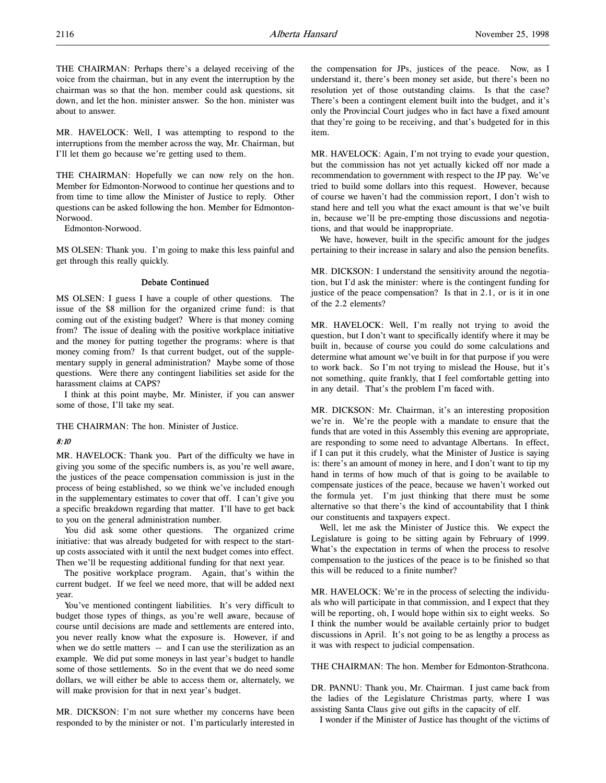THE CHAIRMAN: Perhaps there's a delayed receiving of the voice from the chairman, but in any event the interruption by the chairman was so that the hon. member could ask questions, sit down, and let the hon. minister answer. So the hon. minister was about to answer.

MR. HAVELOCK: Well, I was attempting to respond to the interruptions from the member across the way, Mr. Chairman, but I'll let them go because we're getting used to them.

THE CHAIRMAN: Hopefully we can now rely on the hon. Member for Edmonton-Norwood to continue her questions and to from time to time allow the Minister of Justice to reply. Other questions can be asked following the hon. Member for Edmonton-Norwood.

Edmonton-Norwood.

MS OLSEN: Thank you. I'm going to make this less painful and get through this really quickly.

# Debate Continued

MS OLSEN: I guess I have a couple of other questions. The issue of the \$8 million for the organized crime fund: is that coming out of the existing budget? Where is that money coming from? The issue of dealing with the positive workplace initiative and the money for putting together the programs: where is that money coming from? Is that current budget, out of the supplementary supply in general administration? Maybe some of those questions. Were there any contingent liabilities set aside for the harassment claims at CAPS?

I think at this point maybe, Mr. Minister, if you can answer some of those, I'll take my seat.

THE CHAIRMAN: The hon. Minister of Justice.

## 8:10

MR. HAVELOCK: Thank you. Part of the difficulty we have in giving you some of the specific numbers is, as you're well aware, the justices of the peace compensation commission is just in the process of being established, so we think we've included enough in the supplementary estimates to cover that off. I can't give you a specific breakdown regarding that matter. I'll have to get back to you on the general administration number.

You did ask some other questions. The organized crime initiative: that was already budgeted for with respect to the startup costs associated with it until the next budget comes into effect. Then we'll be requesting additional funding for that next year.

The positive workplace program. Again, that's within the current budget. If we feel we need more, that will be added next year.

You've mentioned contingent liabilities. It's very difficult to budget those types of things, as you're well aware, because of course until decisions are made and settlements are entered into, you never really know what the exposure is. However, if and when we do settle matters -- and I can use the sterilization as an example. We did put some moneys in last year's budget to handle some of those settlements. So in the event that we do need some dollars, we will either be able to access them or, alternately, we will make provision for that in next year's budget.

MR. DICKSON: I'm not sure whether my concerns have been responded to by the minister or not. I'm particularly interested in the compensation for JPs, justices of the peace. Now, as I understand it, there's been money set aside, but there's been no resolution yet of those outstanding claims. Is that the case? There's been a contingent element built into the budget, and it's only the Provincial Court judges who in fact have a fixed amount that they're going to be receiving, and that's budgeted for in this item.

MR. HAVELOCK: Again, I'm not trying to evade your question, but the commission has not yet actually kicked off nor made a recommendation to government with respect to the JP pay. We've tried to build some dollars into this request. However, because of course we haven't had the commission report, I don't wish to stand here and tell you what the exact amount is that we've built in, because we'll be pre-empting those discussions and negotiations, and that would be inappropriate.

We have, however, built in the specific amount for the judges pertaining to their increase in salary and also the pension benefits.

MR. DICKSON: I understand the sensitivity around the negotiation, but I'd ask the minister: where is the contingent funding for justice of the peace compensation? Is that in 2.1, or is it in one of the 2.2 elements?

MR. HAVELOCK: Well, I'm really not trying to avoid the question, but I don't want to specifically identify where it may be built in, because of course you could do some calculations and determine what amount we've built in for that purpose if you were to work back. So I'm not trying to mislead the House, but it's not something, quite frankly, that I feel comfortable getting into in any detail. That's the problem I'm faced with.

MR. DICKSON: Mr. Chairman, it's an interesting proposition we're in. We're the people with a mandate to ensure that the funds that are voted in this Assembly this evening are appropriate, are responding to some need to advantage Albertans. In effect, if I can put it this crudely, what the Minister of Justice is saying is: there's an amount of money in here, and I don't want to tip my hand in terms of how much of that is going to be available to compensate justices of the peace, because we haven't worked out the formula yet. I'm just thinking that there must be some alternative so that there's the kind of accountability that I think our constituents and taxpayers expect.

Well, let me ask the Minister of Justice this. We expect the Legislature is going to be sitting again by February of 1999. What's the expectation in terms of when the process to resolve compensation to the justices of the peace is to be finished so that this will be reduced to a finite number?

MR. HAVELOCK: We're in the process of selecting the individuals who will participate in that commission, and I expect that they will be reporting, oh, I would hope within six to eight weeks. So I think the number would be available certainly prior to budget discussions in April. It's not going to be as lengthy a process as it was with respect to judicial compensation.

THE CHAIRMAN: The hon. Member for Edmonton-Strathcona.

DR. PANNU: Thank you, Mr. Chairman. I just came back from the ladies of the Legislature Christmas party, where I was assisting Santa Claus give out gifts in the capacity of elf.

I wonder if the Minister of Justice has thought of the victims of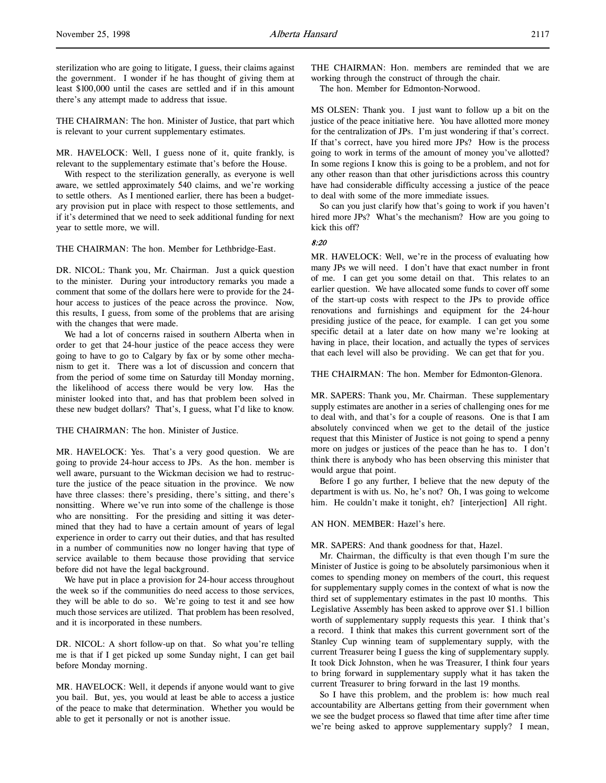sterilization who are going to litigate, I guess, their claims against the government. I wonder if he has thought of giving them at least \$100,000 until the cases are settled and if in this amount there's any attempt made to address that issue.

THE CHAIRMAN: The hon. Minister of Justice, that part which is relevant to your current supplementary estimates.

MR. HAVELOCK: Well, I guess none of it, quite frankly, is relevant to the supplementary estimate that's before the House.

With respect to the sterilization generally, as everyone is well aware, we settled approximately 540 claims, and we're working to settle others. As I mentioned earlier, there has been a budgetary provision put in place with respect to those settlements, and if it's determined that we need to seek additional funding for next year to settle more, we will.

THE CHAIRMAN: The hon. Member for Lethbridge-East.

DR. NICOL: Thank you, Mr. Chairman. Just a quick question to the minister. During your introductory remarks you made a comment that some of the dollars here were to provide for the 24 hour access to justices of the peace across the province. Now, this results, I guess, from some of the problems that are arising with the changes that were made.

We had a lot of concerns raised in southern Alberta when in order to get that 24-hour justice of the peace access they were going to have to go to Calgary by fax or by some other mechanism to get it. There was a lot of discussion and concern that from the period of some time on Saturday till Monday morning, the likelihood of access there would be very low. Has the minister looked into that, and has that problem been solved in these new budget dollars? That's, I guess, what I'd like to know.

THE CHAIRMAN: The hon. Minister of Justice.

MR. HAVELOCK: Yes. That's a very good question. We are going to provide 24-hour access to JPs. As the hon. member is well aware, pursuant to the Wickman decision we had to restructure the justice of the peace situation in the province. We now have three classes: there's presiding, there's sitting, and there's nonsitting. Where we've run into some of the challenge is those who are nonsitting. For the presiding and sitting it was determined that they had to have a certain amount of years of legal experience in order to carry out their duties, and that has resulted in a number of communities now no longer having that type of service available to them because those providing that service before did not have the legal background.

We have put in place a provision for 24-hour access throughout the week so if the communities do need access to those services, they will be able to do so. We're going to test it and see how much those services are utilized. That problem has been resolved, and it is incorporated in these numbers.

DR. NICOL: A short follow-up on that. So what you're telling me is that if I get picked up some Sunday night, I can get bail before Monday morning.

MR. HAVELOCK: Well, it depends if anyone would want to give you bail. But, yes, you would at least be able to access a justice of the peace to make that determination. Whether you would be able to get it personally or not is another issue.

THE CHAIRMAN: Hon. members are reminded that we are working through the construct of through the chair.

The hon. Member for Edmonton-Norwood.

MS OLSEN: Thank you. I just want to follow up a bit on the justice of the peace initiative here. You have allotted more money for the centralization of JPs. I'm just wondering if that's correct. If that's correct, have you hired more JPs? How is the process going to work in terms of the amount of money you've allotted? In some regions I know this is going to be a problem, and not for any other reason than that other jurisdictions across this country have had considerable difficulty accessing a justice of the peace to deal with some of the more immediate issues.

So can you just clarify how that's going to work if you haven't hired more JPs? What's the mechanism? How are you going to kick this off?

# 8:20

MR. HAVELOCK: Well, we're in the process of evaluating how many JPs we will need. I don't have that exact number in front of me. I can get you some detail on that. This relates to an earlier question. We have allocated some funds to cover off some of the start-up costs with respect to the JPs to provide office renovations and furnishings and equipment for the 24-hour presiding justice of the peace, for example. I can get you some specific detail at a later date on how many we're looking at having in place, their location, and actually the types of services that each level will also be providing. We can get that for you.

THE CHAIRMAN: The hon. Member for Edmonton-Glenora.

MR. SAPERS: Thank you, Mr. Chairman. These supplementary supply estimates are another in a series of challenging ones for me to deal with, and that's for a couple of reasons. One is that I am absolutely convinced when we get to the detail of the justice request that this Minister of Justice is not going to spend a penny more on judges or justices of the peace than he has to. I don't think there is anybody who has been observing this minister that would argue that point.

Before I go any further, I believe that the new deputy of the department is with us. No, he's not? Oh, I was going to welcome him. He couldn't make it tonight, eh? [interjection] All right.

#### AN HON. MEMBER: Hazel's here.

MR. SAPERS: And thank goodness for that, Hazel.

Mr. Chairman, the difficulty is that even though I'm sure the Minister of Justice is going to be absolutely parsimonious when it comes to spending money on members of the court, this request for supplementary supply comes in the context of what is now the third set of supplementary estimates in the past 10 months. This Legislative Assembly has been asked to approve over \$1.1 billion worth of supplementary supply requests this year. I think that's a record. I think that makes this current government sort of the Stanley Cup winning team of supplementary supply, with the current Treasurer being I guess the king of supplementary supply. It took Dick Johnston, when he was Treasurer, I think four years to bring forward in supplementary supply what it has taken the current Treasurer to bring forward in the last 19 months.

So I have this problem, and the problem is: how much real accountability are Albertans getting from their government when we see the budget process so flawed that time after time after time we're being asked to approve supplementary supply? I mean,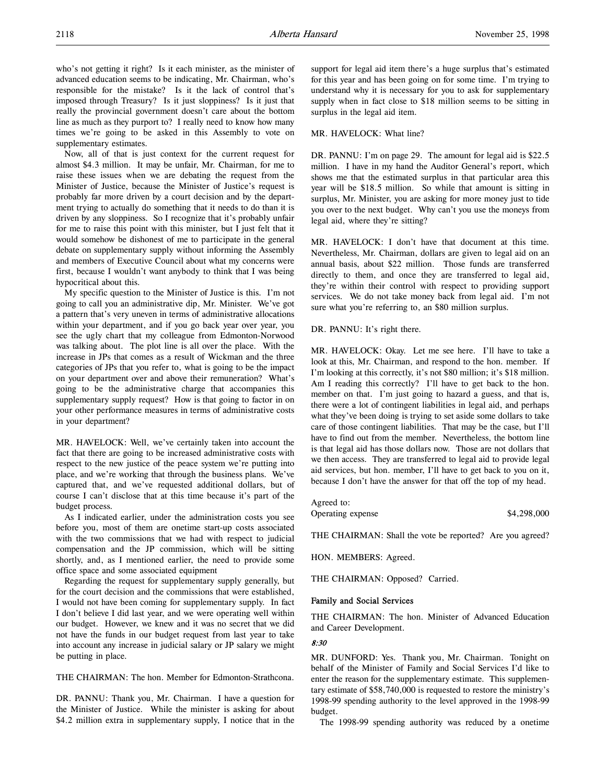who's not getting it right? Is it each minister, as the minister of advanced education seems to be indicating, Mr. Chairman, who's responsible for the mistake? Is it the lack of control that's imposed through Treasury? Is it just sloppiness? Is it just that really the provincial government doesn't care about the bottom line as much as they purport to? I really need to know how many times we're going to be asked in this Assembly to vote on supplementary estimates.

Now, all of that is just context for the current request for almost \$4.3 million. It may be unfair, Mr. Chairman, for me to raise these issues when we are debating the request from the Minister of Justice, because the Minister of Justice's request is probably far more driven by a court decision and by the department trying to actually do something that it needs to do than it is driven by any sloppiness. So I recognize that it's probably unfair for me to raise this point with this minister, but I just felt that it would somehow be dishonest of me to participate in the general debate on supplementary supply without informing the Assembly and members of Executive Council about what my concerns were first, because I wouldn't want anybody to think that I was being hypocritical about this.

My specific question to the Minister of Justice is this. I'm not going to call you an administrative dip, Mr. Minister. We've got a pattern that's very uneven in terms of administrative allocations within your department, and if you go back year over year, you see the ugly chart that my colleague from Edmonton-Norwood was talking about. The plot line is all over the place. With the increase in JPs that comes as a result of Wickman and the three categories of JPs that you refer to, what is going to be the impact on your department over and above their remuneration? What's going to be the administrative charge that accompanies this supplementary supply request? How is that going to factor in on your other performance measures in terms of administrative costs in your department?

MR. HAVELOCK: Well, we've certainly taken into account the fact that there are going to be increased administrative costs with respect to the new justice of the peace system we're putting into place, and we're working that through the business plans. We've captured that, and we've requested additional dollars, but of course I can't disclose that at this time because it's part of the budget process.

As I indicated earlier, under the administration costs you see before you, most of them are onetime start-up costs associated with the two commissions that we had with respect to judicial compensation and the JP commission, which will be sitting shortly, and, as I mentioned earlier, the need to provide some office space and some associated equipment

Regarding the request for supplementary supply generally, but for the court decision and the commissions that were established, I would not have been coming for supplementary supply. In fact I don't believe I did last year, and we were operating well within our budget. However, we knew and it was no secret that we did not have the funds in our budget request from last year to take into account any increase in judicial salary or JP salary we might be putting in place.

THE CHAIRMAN: The hon. Member for Edmonton-Strathcona.

DR. PANNU: Thank you, Mr. Chairman. I have a question for the Minister of Justice. While the minister is asking for about \$4.2 million extra in supplementary supply, I notice that in the

support for legal aid item there's a huge surplus that's estimated for this year and has been going on for some time. I'm trying to understand why it is necessary for you to ask for supplementary supply when in fact close to \$18 million seems to be sitting in surplus in the legal aid item.

## MR. HAVELOCK: What line?

DR. PANNU: I'm on page 29. The amount for legal aid is \$22.5 million. I have in my hand the Auditor General's report, which shows me that the estimated surplus in that particular area this year will be \$18.5 million. So while that amount is sitting in surplus, Mr. Minister, you are asking for more money just to tide you over to the next budget. Why can't you use the moneys from legal aid, where they're sitting?

MR. HAVELOCK: I don't have that document at this time. Nevertheless, Mr. Chairman, dollars are given to legal aid on an annual basis, about \$22 million. Those funds are transferred directly to them, and once they are transferred to legal aid, they're within their control with respect to providing support services. We do not take money back from legal aid. I'm not sure what you're referring to, an \$80 million surplus.

DR. PANNU: It's right there.

MR. HAVELOCK: Okay. Let me see here. I'll have to take a look at this, Mr. Chairman, and respond to the hon. member. If I'm looking at this correctly, it's not \$80 million; it's \$18 million. Am I reading this correctly? I'll have to get back to the hon. member on that. I'm just going to hazard a guess, and that is, there were a lot of contingent liabilities in legal aid, and perhaps what they've been doing is trying to set aside some dollars to take care of those contingent liabilities. That may be the case, but I'll have to find out from the member. Nevertheless, the bottom line is that legal aid has those dollars now. Those are not dollars that we then access. They are transferred to legal aid to provide legal aid services, but hon. member, I'll have to get back to you on it, because I don't have the answer for that off the top of my head.

Agreed to:

Operating expense \$4,298,000

THE CHAIRMAN: Shall the vote be reported? Are you agreed?

HON. MEMBERS: Agreed.

THE CHAIRMAN: Opposed? Carried.

## Family and Social Services

THE CHAIRMAN: The hon. Minister of Advanced Education and Career Development.

## 8:30

MR. DUNFORD: Yes. Thank you, Mr. Chairman. Tonight on behalf of the Minister of Family and Social Services I'd like to enter the reason for the supplementary estimate. This supplementary estimate of \$58,740,000 is requested to restore the ministry's 1998-99 spending authority to the level approved in the 1998-99 budget.

The 1998-99 spending authority was reduced by a onetime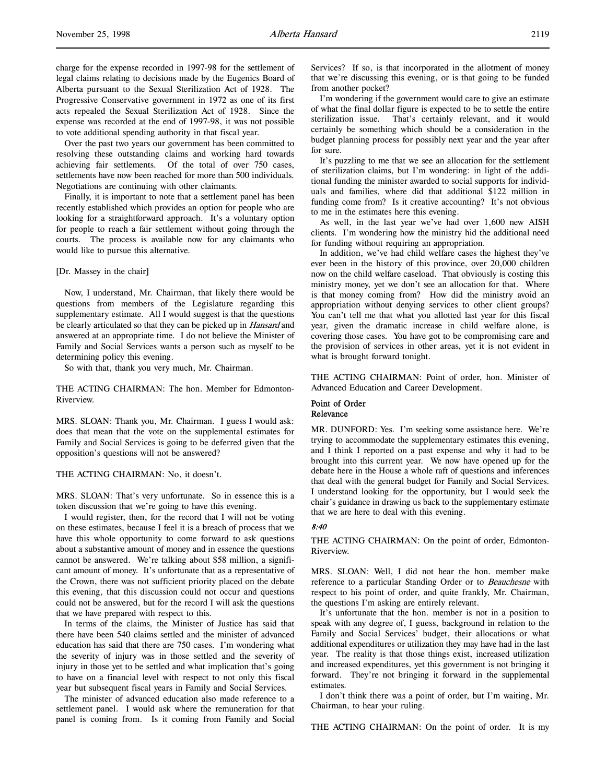charge for the expense recorded in 1997-98 for the settlement of legal claims relating to decisions made by the Eugenics Board of Alberta pursuant to the Sexual Sterilization Act of 1928. The Progressive Conservative government in 1972 as one of its first acts repealed the Sexual Sterilization Act of 1928. Since the expense was recorded at the end of 1997-98, it was not possible to vote additional spending authority in that fiscal year.

Over the past two years our government has been committed to resolving these outstanding claims and working hard towards achieving fair settlements. Of the total of over 750 cases, settlements have now been reached for more than 500 individuals. Negotiations are continuing with other claimants.

Finally, it is important to note that a settlement panel has been recently established which provides an option for people who are looking for a straightforward approach. It's a voluntary option for people to reach a fair settlement without going through the courts. The process is available now for any claimants who would like to pursue this alternative.

[Dr. Massey in the chair]

Now, I understand, Mr. Chairman, that likely there would be questions from members of the Legislature regarding this supplementary estimate. All I would suggest is that the questions be clearly articulated so that they can be picked up in *Hansard* and answered at an appropriate time. I do not believe the Minister of Family and Social Services wants a person such as myself to be determining policy this evening.

So with that, thank you very much, Mr. Chairman.

THE ACTING CHAIRMAN: The hon. Member for Edmonton-Riverview.

MRS. SLOAN: Thank you, Mr. Chairman. I guess I would ask: does that mean that the vote on the supplemental estimates for Family and Social Services is going to be deferred given that the opposition's questions will not be answered?

THE ACTING CHAIRMAN: No, it doesn't.

MRS. SLOAN: That's very unfortunate. So in essence this is a token discussion that we're going to have this evening.

I would register, then, for the record that I will not be voting on these estimates, because I feel it is a breach of process that we have this whole opportunity to come forward to ask questions about a substantive amount of money and in essence the questions cannot be answered. We're talking about \$58 million, a significant amount of money. It's unfortunate that as a representative of the Crown, there was not sufficient priority placed on the debate this evening, that this discussion could not occur and questions could not be answered, but for the record I will ask the questions that we have prepared with respect to this.

In terms of the claims, the Minister of Justice has said that there have been 540 claims settled and the minister of advanced education has said that there are 750 cases. I'm wondering what the severity of injury was in those settled and the severity of injury in those yet to be settled and what implication that's going to have on a financial level with respect to not only this fiscal year but subsequent fiscal years in Family and Social Services.

The minister of advanced education also made reference to a settlement panel. I would ask where the remuneration for that panel is coming from. Is it coming from Family and Social

Services? If so, is that incorporated in the allotment of money that we're discussing this evening, or is that going to be funded from another pocket?

I'm wondering if the government would care to give an estimate of what the final dollar figure is expected to be to settle the entire sterilization issue. That's certainly relevant, and it would certainly be something which should be a consideration in the budget planning process for possibly next year and the year after for sure.

It's puzzling to me that we see an allocation for the settlement of sterilization claims, but I'm wondering: in light of the additional funding the minister awarded to social supports for individuals and families, where did that additional \$122 million in funding come from? Is it creative accounting? It's not obvious to me in the estimates here this evening.

As well, in the last year we've had over 1,600 new AISH clients. I'm wondering how the ministry hid the additional need for funding without requiring an appropriation.

In addition, we've had child welfare cases the highest they've ever been in the history of this province, over 20,000 children now on the child welfare caseload. That obviously is costing this ministry money, yet we don't see an allocation for that. Where is that money coming from? How did the ministry avoid an appropriation without denying services to other client groups? You can't tell me that what you allotted last year for this fiscal year, given the dramatic increase in child welfare alone, is covering those cases. You have got to be compromising care and the provision of services in other areas, yet it is not evident in what is brought forward tonight.

THE ACTING CHAIRMAN: Point of order, hon. Minister of Advanced Education and Career Development.

#### Point of Order Relevance

MR. DUNFORD: Yes. I'm seeking some assistance here. We're trying to accommodate the supplementary estimates this evening, and I think I reported on a past expense and why it had to be brought into this current year. We now have opened up for the debate here in the House a whole raft of questions and inferences that deal with the general budget for Family and Social Services. I understand looking for the opportunity, but I would seek the chair's guidance in drawing us back to the supplementary estimate that we are here to deal with this evening.

#### 8:40

THE ACTING CHAIRMAN: On the point of order, Edmonton-Riverview.

MRS. SLOAN: Well, I did not hear the hon. member make reference to a particular Standing Order or to Beauchesne with respect to his point of order, and quite frankly, Mr. Chairman, the questions I'm asking are entirely relevant.

It's unfortunate that the hon. member is not in a position to speak with any degree of, I guess, background in relation to the Family and Social Services' budget, their allocations or what additional expenditures or utilization they may have had in the last year. The reality is that those things exist, increased utilization and increased expenditures, yet this government is not bringing it forward. They're not bringing it forward in the supplemental estimates.

I don't think there was a point of order, but I'm waiting, Mr. Chairman, to hear your ruling.

THE ACTING CHAIRMAN: On the point of order. It is my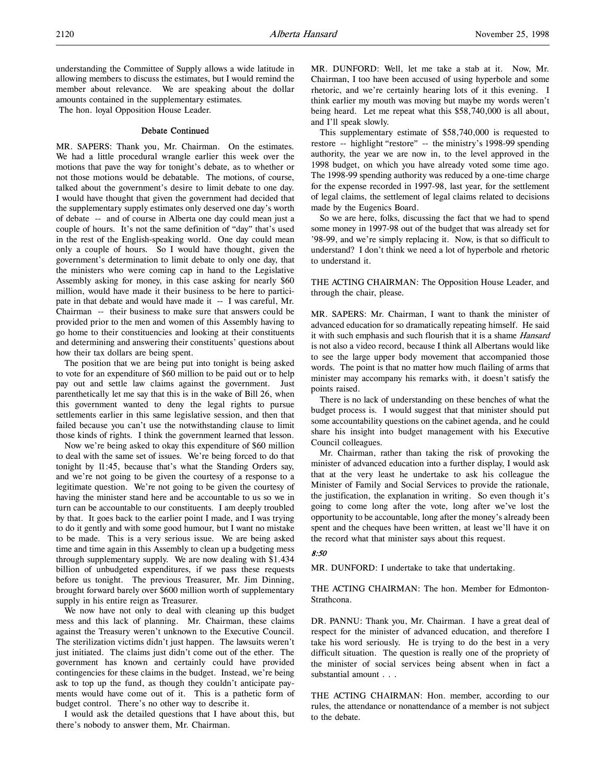understanding the Committee of Supply allows a wide latitude in allowing members to discuss the estimates, but I would remind the member about relevance. We are speaking about the dollar amounts contained in the supplementary estimates.

The hon. loyal Opposition House Leader.

## Debate Continued

MR. SAPERS: Thank you, Mr. Chairman. On the estimates. We had a little procedural wrangle earlier this week over the motions that pave the way for tonight's debate, as to whether or not those motions would be debatable. The motions, of course, talked about the government's desire to limit debate to one day. I would have thought that given the government had decided that the supplementary supply estimates only deserved one day's worth of debate -- and of course in Alberta one day could mean just a couple of hours. It's not the same definition of "day" that's used in the rest of the English-speaking world. One day could mean only a couple of hours. So I would have thought, given the government's determination to limit debate to only one day, that the ministers who were coming cap in hand to the Legislative Assembly asking for money, in this case asking for nearly \$60 million, would have made it their business to be here to participate in that debate and would have made it -- I was careful, Mr. Chairman -- their business to make sure that answers could be provided prior to the men and women of this Assembly having to go home to their constituencies and looking at their constituents and determining and answering their constituents' questions about how their tax dollars are being spent.

The position that we are being put into tonight is being asked to vote for an expenditure of \$60 million to be paid out or to help pay out and settle law claims against the government. Just parenthetically let me say that this is in the wake of Bill 26, when this government wanted to deny the legal rights to pursue settlements earlier in this same legislative session, and then that failed because you can't use the notwithstanding clause to limit those kinds of rights. I think the government learned that lesson.

Now we're being asked to okay this expenditure of \$60 million to deal with the same set of issues. We're being forced to do that tonight by 11:45, because that's what the Standing Orders say, and we're not going to be given the courtesy of a response to a legitimate question. We're not going to be given the courtesy of having the minister stand here and be accountable to us so we in turn can be accountable to our constituents. I am deeply troubled by that. It goes back to the earlier point I made, and I was trying to do it gently and with some good humour, but I want no mistake to be made. This is a very serious issue. We are being asked time and time again in this Assembly to clean up a budgeting mess through supplementary supply. We are now dealing with \$1.434 billion of unbudgeted expenditures, if we pass these requests before us tonight. The previous Treasurer, Mr. Jim Dinning, brought forward barely over \$600 million worth of supplementary supply in his entire reign as Treasurer.

We now have not only to deal with cleaning up this budget mess and this lack of planning. Mr. Chairman, these claims against the Treasury weren't unknown to the Executive Council. The sterilization victims didn't just happen. The lawsuits weren't just initiated. The claims just didn't come out of the ether. The government has known and certainly could have provided contingencies for these claims in the budget. Instead, we're being ask to top up the fund, as though they couldn't anticipate payments would have come out of it. This is a pathetic form of budget control. There's no other way to describe it.

I would ask the detailed questions that I have about this, but there's nobody to answer them, Mr. Chairman.

MR. DUNFORD: Well, let me take a stab at it. Now, Mr. Chairman, I too have been accused of using hyperbole and some rhetoric, and we're certainly hearing lots of it this evening. I think earlier my mouth was moving but maybe my words weren't being heard. Let me repeat what this \$58,740,000 is all about, and I'll speak slowly.

This supplementary estimate of \$58,740,000 is requested to restore -- highlight "restore" -- the ministry's 1998-99 spending authority, the year we are now in, to the level approved in the 1998 budget, on which you have already voted some time ago. The 1998-99 spending authority was reduced by a one-time charge for the expense recorded in 1997-98, last year, for the settlement of legal claims, the settlement of legal claims related to decisions made by the Eugenics Board.

So we are here, folks, discussing the fact that we had to spend some money in 1997-98 out of the budget that was already set for '98-99, and we're simply replacing it. Now, is that so difficult to understand? I don't think we need a lot of hyperbole and rhetoric to understand it.

THE ACTING CHAIRMAN: The Opposition House Leader, and through the chair, please.

MR. SAPERS: Mr. Chairman, I want to thank the minister of advanced education for so dramatically repeating himself. He said it with such emphasis and such flourish that it is a shame Hansard is not also a video record, because I think all Albertans would like to see the large upper body movement that accompanied those words. The point is that no matter how much flailing of arms that minister may accompany his remarks with, it doesn't satisfy the points raised.

There is no lack of understanding on these benches of what the budget process is. I would suggest that that minister should put some accountability questions on the cabinet agenda, and he could share his insight into budget management with his Executive Council colleagues.

Mr. Chairman, rather than taking the risk of provoking the minister of advanced education into a further display, I would ask that at the very least he undertake to ask his colleague the Minister of Family and Social Services to provide the rationale, the justification, the explanation in writing. So even though it's going to come long after the vote, long after we've lost the opportunity to be accountable, long after the money's already been spent and the cheques have been written, at least we'll have it on the record what that minister says about this request.

#### 8:50

MR. DUNFORD: I undertake to take that undertaking.

THE ACTING CHAIRMAN: The hon. Member for Edmonton-Strathcona.

DR. PANNU: Thank you, Mr. Chairman. I have a great deal of respect for the minister of advanced education, and therefore I take his word seriously. He is trying to do the best in a very difficult situation. The question is really one of the propriety of the minister of social services being absent when in fact a substantial amount . . .

THE ACTING CHAIRMAN: Hon. member, according to our rules, the attendance or nonattendance of a member is not subject to the debate.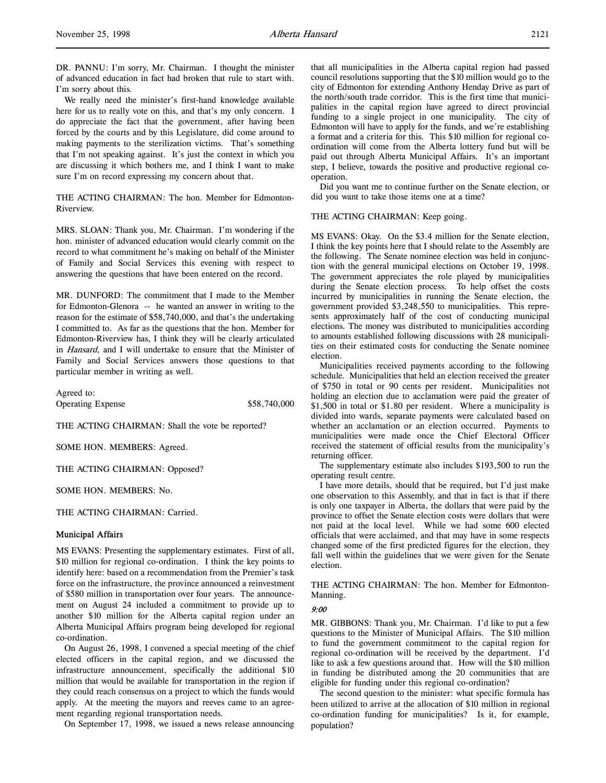DR. PANNU: I'm sorry, Mr. Chairman. I thought the minister of advanced education in fact had broken that rule to start with. I'm sorry about this.

We really need the minister's first-hand knowledge available here for us to really vote on this, and that's my only concern. I do appreciate the fact that the government, after having been forced by the courts and by this Legislature, did come around to making payments to the sterilization victims. That's something that I'm not speaking against. It's just the context in which you are discussing it which bothers me, and I think I want to make sure I'm on record expressing my concern about that.

THE ACTING CHAIRMAN: The hon. Member for Edmonton-Riverview.

MRS. SLOAN: Thank you, Mr. Chairman. I'm wondering if the hon. minister of advanced education would clearly commit on the record to what commitment he's making on behalf of the Minister of Family and Social Services this evening with respect to answering the questions that have been entered on the record.

MR. DUNFORD: The commitment that I made to the Member for Edmonton-Glenora -- he wanted an answer in writing to the reason for the estimate of \$58,740,000, and that's the undertaking I committed to. As far as the questions that the hon. Member for Edmonton-Riverview has, I think they will be clearly articulated in Hansard, and I will undertake to ensure that the Minister of Family and Social Services answers those questions to that particular member in writing as well.

Agreed to: Operating Expense \$58,740,000

THE ACTING CHAIRMAN: Shall the vote be reported?

SOME HON. MEMBERS: Agreed.

THE ACTING CHAIRMAN: Opposed?

SOME HON. MEMBERS: No.

THE ACTING CHAIRMAN: Carried.

#### Municipal Affairs

MS EVANS: Presenting the supplementary estimates. First of all, \$10 million for regional co-ordination. I think the key points to identify here: based on a recommendation from the Premier's task force on the infrastructure, the province announced a reinvestment of \$580 million in transportation over four years. The announcement on August 24 included a commitment to provide up to another \$10 million for the Alberta capital region under an Alberta Municipal Affairs program being developed for regional co-ordination.

On August 26, 1998, I convened a special meeting of the chief elected officers in the capital region, and we discussed the infrastructure announcement, specifically the additional \$10 million that would be available for transportation in the region if they could reach consensus on a project to which the funds would apply. At the meeting the mayors and reeves came to an agreement regarding regional transportation needs.

On September 17, 1998, we issued a news release announcing

that all municipalities in the Alberta capital region had passed council resolutions supporting that the \$10 million would go to the city of Edmonton for extending Anthony Henday Drive as part of the north/south trade corridor. This is the first time that municipalities in the capital region have agreed to direct provincial funding to a single project in one municipality. The city of Edmonton will have to apply for the funds, and we're establishing a format and a criteria for this. This \$10 million for regional coordination will come from the Alberta lottery fund but will be paid out through Alberta Municipal Affairs. It's an important step, I believe, towards the positive and productive regional cooperation.

Did you want me to continue further on the Senate election, or did you want to take those items one at a time?

#### THE ACTING CHAIRMAN: Keep going.

MS EVANS: Okay. On the \$3.4 million for the Senate election, I think the key points here that I should relate to the Assembly are the following. The Senate nominee election was held in conjunction with the general municipal elections on October 19, 1998. The government appreciates the role played by municipalities during the Senate election process. To help offset the costs incurred by municipalities in running the Senate election, the government provided \$3,248,550 to municipalities. This represents approximately half of the cost of conducting municipal elections. The money was distributed to municipalities according to amounts established following discussions with 28 municipalities on their estimated costs for conducting the Senate nominee election.

Municipalities received payments according to the following schedule. Municipalities that held an election received the greater of \$750 in total or 90 cents per resident. Municipalities not holding an election due to acclamation were paid the greater of \$1,500 in total or \$1.80 per resident. Where a municipality is divided into wards, separate payments were calculated based on whether an acclamation or an election occurred. Payments to municipalities were made once the Chief Electoral Officer received the statement of official results from the municipality's returning officer.

The supplementary estimate also includes \$193,500 to run the operating result centre.

I have more details, should that be required, but I'd just make one observation to this Assembly, and that in fact is that if there is only one taxpayer in Alberta, the dollars that were paid by the province to offset the Senate election costs were dollars that were not paid at the local level. While we had some 600 elected officials that were acclaimed, and that may have in some respects changed some of the first predicted figures for the election, they fall well within the guidelines that we were given for the Senate election.

THE ACTING CHAIRMAN: The hon. Member for Edmonton-Manning.

#### 9:00

MR. GIBBONS: Thank you, Mr. Chairman. I'd like to put a few questions to the Minister of Municipal Affairs. The \$10 million to fund the government commitment to the capital region for regional co-ordination will be received by the department. I'd like to ask a few questions around that. How will the \$10 million in funding be distributed among the 20 communities that are eligible for funding under this regional co-ordination?

The second question to the minister: what specific formula has been utilized to arrive at the allocation of \$10 million in regional co-ordination funding for municipalities? Is it, for example, population?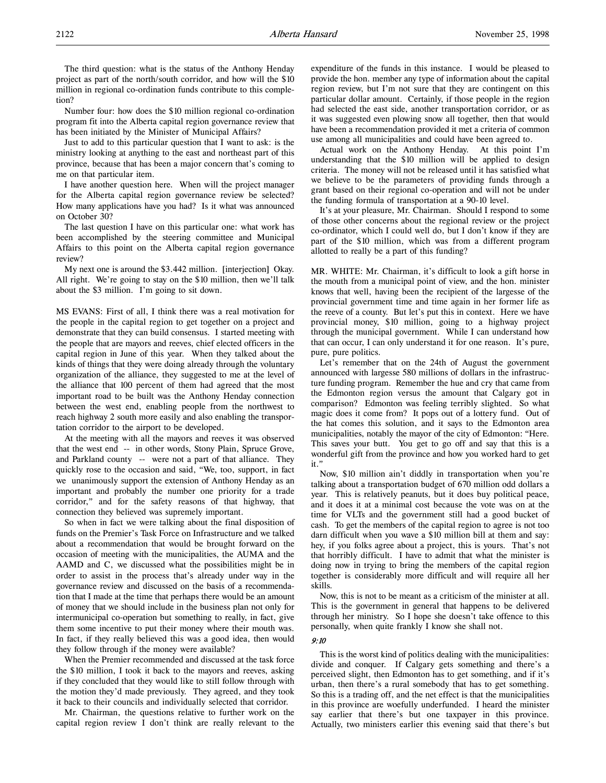The third question: what is the status of the Anthony Henday project as part of the north/south corridor, and how will the \$10 million in regional co-ordination funds contribute to this completion?

Number four: how does the \$10 million regional co-ordination program fit into the Alberta capital region governance review that has been initiated by the Minister of Municipal Affairs?

Just to add to this particular question that I want to ask: is the ministry looking at anything to the east and northeast part of this province, because that has been a major concern that's coming to me on that particular item.

I have another question here. When will the project manager for the Alberta capital region governance review be selected? How many applications have you had? Is it what was announced on October 30?

The last question I have on this particular one: what work has been accomplished by the steering committee and Municipal Affairs to this point on the Alberta capital region governance review?

My next one is around the \$3.442 million. [interjection] Okay. All right. We're going to stay on the \$10 million, then we'll talk about the \$3 million. I'm going to sit down.

MS EVANS: First of all, I think there was a real motivation for the people in the capital region to get together on a project and demonstrate that they can build consensus. I started meeting with the people that are mayors and reeves, chief elected officers in the capital region in June of this year. When they talked about the kinds of things that they were doing already through the voluntary organization of the alliance, they suggested to me at the level of the alliance that 100 percent of them had agreed that the most important road to be built was the Anthony Henday connection between the west end, enabling people from the northwest to reach highway 2 south more easily and also enabling the transportation corridor to the airport to be developed.

At the meeting with all the mayors and reeves it was observed that the west end -- in other words, Stony Plain, Spruce Grove, and Parkland county -- were not a part of that alliance. They quickly rose to the occasion and said, "We, too, support, in fact we unanimously support the extension of Anthony Henday as an important and probably the number one priority for a trade corridor," and for the safety reasons of that highway, that connection they believed was supremely important.

So when in fact we were talking about the final disposition of funds on the Premier's Task Force on Infrastructure and we talked about a recommendation that would be brought forward on the occasion of meeting with the municipalities, the AUMA and the AAMD and C, we discussed what the possibilities might be in order to assist in the process that's already under way in the governance review and discussed on the basis of a recommendation that I made at the time that perhaps there would be an amount of money that we should include in the business plan not only for intermunicipal co-operation but something to really, in fact, give them some incentive to put their money where their mouth was. In fact, if they really believed this was a good idea, then would they follow through if the money were available?

When the Premier recommended and discussed at the task force the \$10 million, I took it back to the mayors and reeves, asking if they concluded that they would like to still follow through with the motion they'd made previously. They agreed, and they took it back to their councils and individually selected that corridor.

Mr. Chairman, the questions relative to further work on the capital region review I don't think are really relevant to the expenditure of the funds in this instance. I would be pleased to provide the hon. member any type of information about the capital region review, but I'm not sure that they are contingent on this particular dollar amount. Certainly, if those people in the region had selected the east side, another transportation corridor, or as it was suggested even plowing snow all together, then that would have been a recommendation provided it met a criteria of common use among all municipalities and could have been agreed to.

Actual work on the Anthony Henday. At this point I'm understanding that the \$10 million will be applied to design criteria. The money will not be released until it has satisfied what we believe to be the parameters of providing funds through a grant based on their regional co-operation and will not be under the funding formula of transportation at a 90-10 level.

It's at your pleasure, Mr. Chairman. Should I respond to some of those other concerns about the regional review or the project co-ordinator, which I could well do, but I don't know if they are part of the \$10 million, which was from a different program allotted to really be a part of this funding?

MR. WHITE: Mr. Chairman, it's difficult to look a gift horse in the mouth from a municipal point of view, and the hon. minister knows that well, having been the recipient of the largesse of the provincial government time and time again in her former life as the reeve of a county. But let's put this in context. Here we have provincial money, \$10 million, going to a highway project through the municipal government. While I can understand how that can occur, I can only understand it for one reason. It's pure, pure, pure politics.

Let's remember that on the 24th of August the government announced with largesse 580 millions of dollars in the infrastructure funding program. Remember the hue and cry that came from the Edmonton region versus the amount that Calgary got in comparison? Edmonton was feeling terribly slighted. So what magic does it come from? It pops out of a lottery fund. Out of the hat comes this solution, and it says to the Edmonton area municipalities, notably the mayor of the city of Edmonton: "Here. This saves your butt. You get to go off and say that this is a wonderful gift from the province and how you worked hard to get it."

Now, \$10 million ain't diddly in transportation when you're talking about a transportation budget of 670 million odd dollars a year. This is relatively peanuts, but it does buy political peace, and it does it at a minimal cost because the vote was on at the time for VLTs and the government still had a good bucket of cash. To get the members of the capital region to agree is not too darn difficult when you wave a \$10 million bill at them and say: hey, if you folks agree about a project, this is yours. That's not that horribly difficult. I have to admit that what the minister is doing now in trying to bring the members of the capital region together is considerably more difficult and will require all her skills.

Now, this is not to be meant as a criticism of the minister at all. This is the government in general that happens to be delivered through her ministry. So I hope she doesn't take offence to this personally, when quite frankly I know she shall not.

## 9:10

This is the worst kind of politics dealing with the municipalities: divide and conquer. If Calgary gets something and there's a perceived slight, then Edmonton has to get something, and if it's urban, then there's a rural somebody that has to get something. So this is a trading off, and the net effect is that the municipalities in this province are woefully underfunded. I heard the minister say earlier that there's but one taxpayer in this province. Actually, two ministers earlier this evening said that there's but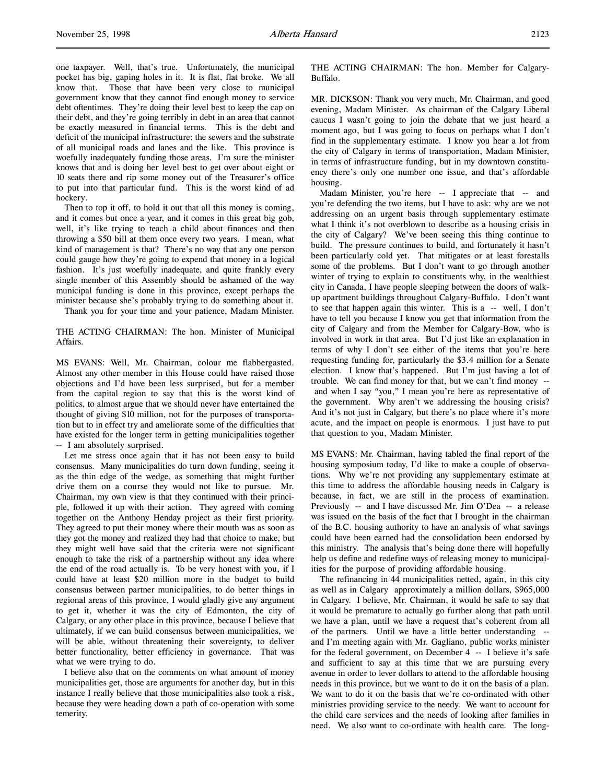one taxpayer. Well, that's true. Unfortunately, the municipal pocket has big, gaping holes in it. It is flat, flat broke. We all know that. Those that have been very close to municipal government know that they cannot find enough money to service debt oftentimes. They're doing their level best to keep the cap on their debt, and they're going terribly in debt in an area that cannot be exactly measured in financial terms. This is the debt and deficit of the municipal infrastructure: the sewers and the substrate of all municipal roads and lanes and the like. This province is woefully inadequately funding those areas. I'm sure the minister knows that and is doing her level best to get over about eight or 10 seats there and rip some money out of the Treasurer's office to put into that particular fund. This is the worst kind of ad hockery.

Then to top it off, to hold it out that all this money is coming, and it comes but once a year, and it comes in this great big gob, well, it's like trying to teach a child about finances and then throwing a \$50 bill at them once every two years. I mean, what kind of management is that? There's no way that any one person could gauge how they're going to expend that money in a logical fashion. It's just woefully inadequate, and quite frankly every single member of this Assembly should be ashamed of the way municipal funding is done in this province, except perhaps the minister because she's probably trying to do something about it.

Thank you for your time and your patience, Madam Minister.

THE ACTING CHAIRMAN: The hon. Minister of Municipal Affairs.

MS EVANS: Well, Mr. Chairman, colour me flabbergasted. Almost any other member in this House could have raised those objections and I'd have been less surprised, but for a member from the capital region to say that this is the worst kind of politics, to almost argue that we should never have entertained the thought of giving \$10 million, not for the purposes of transportation but to in effect try and ameliorate some of the difficulties that have existed for the longer term in getting municipalities together -- I am absolutely surprised.

Let me stress once again that it has not been easy to build consensus. Many municipalities do turn down funding, seeing it as the thin edge of the wedge, as something that might further drive them on a course they would not like to pursue. Mr. Chairman, my own view is that they continued with their principle, followed it up with their action. They agreed with coming together on the Anthony Henday project as their first priority. They agreed to put their money where their mouth was as soon as they got the money and realized they had that choice to make, but they might well have said that the criteria were not significant enough to take the risk of a partnership without any idea where the end of the road actually is. To be very honest with you, if I could have at least \$20 million more in the budget to build consensus between partner municipalities, to do better things in regional areas of this province, I would gladly give any argument to get it, whether it was the city of Edmonton, the city of Calgary, or any other place in this province, because I believe that ultimately, if we can build consensus between municipalities, we will be able, without threatening their sovereignty, to deliver better functionality, better efficiency in governance. That was what we were trying to do.

I believe also that on the comments on what amount of money municipalities get, those are arguments for another day, but in this instance I really believe that those municipalities also took a risk, because they were heading down a path of co-operation with some temerity.

THE ACTING CHAIRMAN: The hon. Member for Calgary-Buffalo.

MR. DICKSON: Thank you very much, Mr. Chairman, and good evening, Madam Minister. As chairman of the Calgary Liberal caucus I wasn't going to join the debate that we just heard a moment ago, but I was going to focus on perhaps what I don't find in the supplementary estimate. I know you hear a lot from the city of Calgary in terms of transportation, Madam Minister, in terms of infrastructure funding, but in my downtown constituency there's only one number one issue, and that's affordable housing.

Madam Minister, you're here -- I appreciate that -- and you're defending the two items, but I have to ask: why are we not addressing on an urgent basis through supplementary estimate what I think it's not overblown to describe as a housing crisis in the city of Calgary? We've been seeing this thing continue to build. The pressure continues to build, and fortunately it hasn't been particularly cold yet. That mitigates or at least forestalls some of the problems. But I don't want to go through another winter of trying to explain to constituents why, in the wealthiest city in Canada, I have people sleeping between the doors of walkup apartment buildings throughout Calgary-Buffalo. I don't want to see that happen again this winter. This is a -- well, I don't have to tell you because I know you get that information from the city of Calgary and from the Member for Calgary-Bow, who is involved in work in that area. But I'd just like an explanation in terms of why I don't see either of the items that you're here requesting funding for, particularly the \$3.4 million for a Senate election. I know that's happened. But I'm just having a lot of trouble. We can find money for that, but we can't find money - and when I say "you," I mean you're here as representative of the government. Why aren't we addressing the housing crisis? And it's not just in Calgary, but there's no place where it's more acute, and the impact on people is enormous. I just have to put that question to you, Madam Minister.

MS EVANS: Mr. Chairman, having tabled the final report of the housing symposium today, I'd like to make a couple of observations. Why we're not providing any supplementary estimate at this time to address the affordable housing needs in Calgary is because, in fact, we are still in the process of examination. Previously -- and I have discussed Mr. Jim O'Dea -- a release was issued on the basis of the fact that I brought in the chairman of the B.C. housing authority to have an analysis of what savings could have been earned had the consolidation been endorsed by this ministry. The analysis that's being done there will hopefully help us define and redefine ways of releasing money to municipalities for the purpose of providing affordable housing.

The refinancing in 44 municipalities netted, again, in this city as well as in Calgary approximately a million dollars, \$965,000 in Calgary. I believe, Mr. Chairman, it would be safe to say that it would be premature to actually go further along that path until we have a plan, until we have a request that's coherent from all of the partners. Until we have a little better understanding - and I'm meeting again with Mr. Gagliano, public works minister for the federal government, on December 4 -- I believe it's safe and sufficient to say at this time that we are pursuing every avenue in order to lever dollars to attend to the affordable housing needs in this province, but we want to do it on the basis of a plan. We want to do it on the basis that we're co-ordinated with other ministries providing service to the needy. We want to account for the child care services and the needs of looking after families in need. We also want to co-ordinate with health care. The long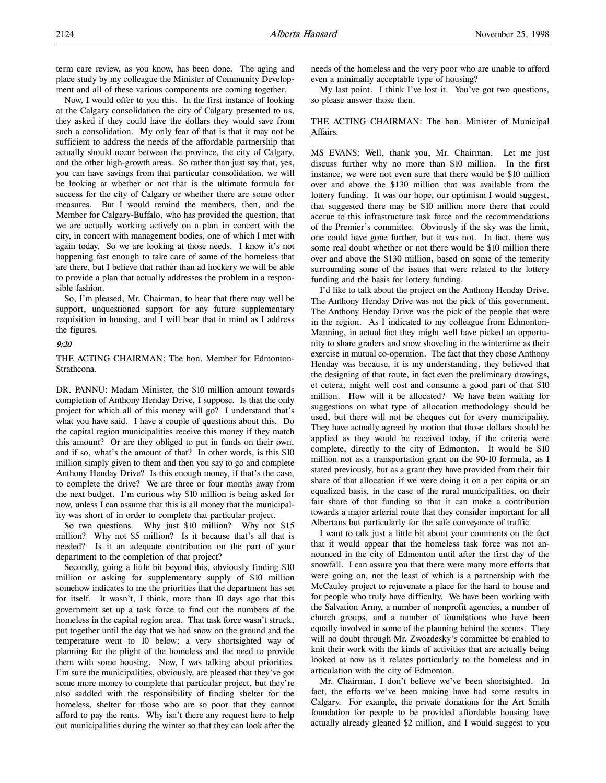term care review, as you know, has been done. The aging and place study by my colleague the Minister of Community Development and all of these various components are coming together.

Now, I would offer to you this. In the first instance of looking at the Calgary consolidation the city of Calgary presented to us, they asked if they could have the dollars they would save from such a consolidation. My only fear of that is that it may not be sufficient to address the needs of the affordable partnership that actually should occur between the province, the city of Calgary, and the other high-growth areas. So rather than just say that, yes, you can have savings from that particular consolidation, we will be looking at whether or not that is the ultimate formula for success for the city of Calgary or whether there are some other measures. But I would remind the members, then, and the Member for Calgary-Buffalo, who has provided the question, that we are actually working actively on a plan in concert with the city, in concert with management bodies, one of which I met with again today. So we are looking at those needs. I know it's not happening fast enough to take care of some of the homeless that are there, but I believe that rather than ad hockery we will be able to provide a plan that actually addresses the problem in a responsible fashion.

So, I'm pleased, Mr. Chairman, to hear that there may well be support, unquestioned support for any future supplementary requisition in housing, and I will bear that in mind as I address the figures.

#### 9:20

THE ACTING CHAIRMAN: The hon. Member for Edmonton-Strathcona.

DR. PANNU: Madam Minister, the \$10 million amount towards completion of Anthony Henday Drive, I suppose. Is that the only project for which all of this money will go? I understand that's what you have said. I have a couple of questions about this. Do the capital region municipalities receive this money if they match this amount? Or are they obliged to put in funds on their own, and if so, what's the amount of that? In other words, is this \$10 million simply given to them and then you say to go and complete Anthony Henday Drive? Is this enough money, if that's the case, to complete the drive? We are three or four months away from the next budget. I'm curious why \$10 million is being asked for now, unless I can assume that this is all money that the municipality was short of in order to complete that particular project.

So two questions. Why just \$10 million? Why not \$15 million? Why not \$5 million? Is it because that's all that is needed? Is it an adequate contribution on the part of your department to the completion of that project?

Secondly, going a little bit beyond this, obviously finding \$10 million or asking for supplementary supply of \$10 million somehow indicates to me the priorities that the department has set for itself. It wasn't, I think, more than 10 days ago that this government set up a task force to find out the numbers of the homeless in the capital region area. That task force wasn't struck, put together until the day that we had snow on the ground and the temperature went to 10 below; a very shortsighted way of planning for the plight of the homeless and the need to provide them with some housing. Now, I was talking about priorities. I'm sure the municipalities, obviously, are pleased that they've got some more money to complete that particular project, but they're also saddled with the responsibility of finding shelter for the homeless, shelter for those who are so poor that they cannot afford to pay the rents. Why isn't there any request here to help out municipalities during the winter so that they can look after the

needs of the homeless and the very poor who are unable to afford even a minimally acceptable type of housing?

My last point. I think I've lost it. You've got two questions, so please answer those then.

## THE ACTING CHAIRMAN: The hon. Minister of Municipal Affairs.

MS EVANS: Well, thank you, Mr. Chairman. Let me just discuss further why no more than \$10 million. In the first instance, we were not even sure that there would be \$10 million over and above the \$130 million that was available from the lottery funding. It was our hope, our optimism I would suggest, that suggested there may be \$10 million more there that could accrue to this infrastructure task force and the recommendations of the Premier's committee. Obviously if the sky was the limit, one could have gone further, but it was not. In fact, there was some real doubt whether or not there would be \$10 million there over and above the \$130 million, based on some of the temerity surrounding some of the issues that were related to the lottery funding and the basis for lottery funding.

I'd like to talk about the project on the Anthony Henday Drive. The Anthony Henday Drive was not the pick of this government. The Anthony Henday Drive was the pick of the people that were in the region. As I indicated to my colleague from Edmonton-Manning, in actual fact they might well have picked an opportunity to share graders and snow shoveling in the wintertime as their exercise in mutual co-operation. The fact that they chose Anthony Henday was because, it is my understanding, they believed that the designing of that route, in fact even the preliminary drawings, et cetera, might well cost and consume a good part of that \$10 million. How will it be allocated? We have been waiting for suggestions on what type of allocation methodology should be used, but there will not be cheques cut for every municipality. They have actually agreed by motion that those dollars should be applied as they would be received today, if the criteria were complete, directly to the city of Edmonton. It would be \$10 million not as a transportation grant on the 90-10 formula, as I stated previously, but as a grant they have provided from their fair share of that allocation if we were doing it on a per capita or an equalized basis, in the case of the rural municipalities, on their fair share of that funding so that it can make a contribution towards a major arterial route that they consider important for all Albertans but particularly for the safe conveyance of traffic.

I want to talk just a little bit about your comments on the fact that it would appear that the homeless task force was not announced in the city of Edmonton until after the first day of the snowfall. I can assure you that there were many more efforts that were going on, not the least of which is a partnership with the McCauley project to rejuvenate a place for the hard to house and for people who truly have difficulty. We have been working with the Salvation Army, a number of nonprofit agencies, a number of church groups, and a number of foundations who have been equally involved in some of the planning behind the scenes. They will no doubt through Mr. Zwozdesky's committee be enabled to knit their work with the kinds of activities that are actually being looked at now as it relates particularly to the homeless and in articulation with the city of Edmonton.

Mr. Chairman, I don't believe we've been shortsighted. In fact, the efforts we've been making have had some results in Calgary. For example, the private donations for the Art Smith foundation for people to be provided affordable housing have actually already gleaned \$2 million, and I would suggest to you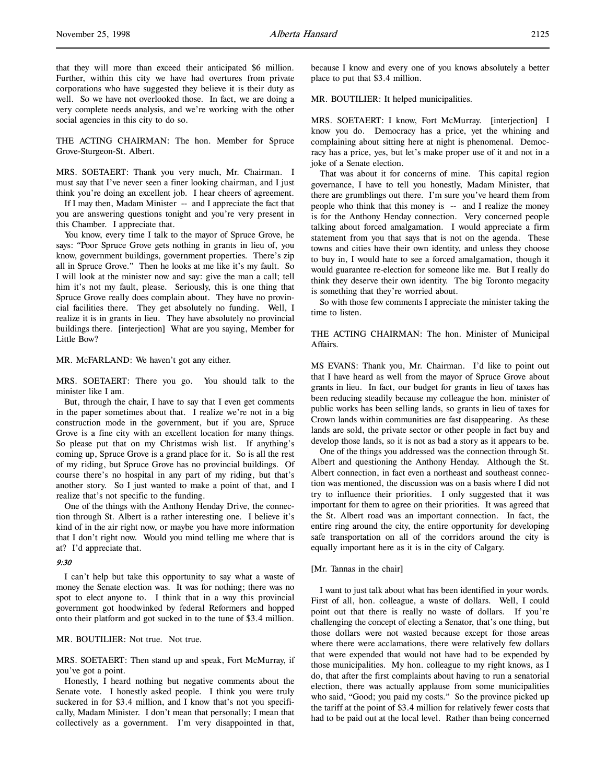that they will more than exceed their anticipated \$6 million. Further, within this city we have had overtures from private corporations who have suggested they believe it is their duty as well. So we have not overlooked those. In fact, we are doing a very complete needs analysis, and we're working with the other social agencies in this city to do so.

THE ACTING CHAIRMAN: The hon. Member for Spruce Grove-Sturgeon-St. Albert.

MRS. SOETAERT: Thank you very much, Mr. Chairman. I must say that I've never seen a finer looking chairman, and I just think you're doing an excellent job. I hear cheers of agreement.

If I may then, Madam Minister -- and I appreciate the fact that you are answering questions tonight and you're very present in this Chamber. I appreciate that.

You know, every time I talk to the mayor of Spruce Grove, he says: "Poor Spruce Grove gets nothing in grants in lieu of, you know, government buildings, government properties. There's zip all in Spruce Grove." Then he looks at me like it's my fault. So I will look at the minister now and say: give the man a call; tell him it's not my fault, please. Seriously, this is one thing that Spruce Grove really does complain about. They have no provincial facilities there. They get absolutely no funding. Well, I realize it is in grants in lieu. They have absolutely no provincial buildings there. [interjection] What are you saying, Member for Little Bow?

MR. McFARLAND: We haven't got any either.

MRS. SOETAERT: There you go. You should talk to the minister like I am.

But, through the chair, I have to say that I even get comments in the paper sometimes about that. I realize we're not in a big construction mode in the government, but if you are, Spruce Grove is a fine city with an excellent location for many things. So please put that on my Christmas wish list. If anything's coming up, Spruce Grove is a grand place for it. So is all the rest of my riding, but Spruce Grove has no provincial buildings. Of course there's no hospital in any part of my riding, but that's another story. So I just wanted to make a point of that, and I realize that's not specific to the funding.

One of the things with the Anthony Henday Drive, the connection through St. Albert is a rather interesting one. I believe it's kind of in the air right now, or maybe you have more information that I don't right now. Would you mind telling me where that is at? I'd appreciate that.

#### 9:30

I can't help but take this opportunity to say what a waste of money the Senate election was. It was for nothing; there was no spot to elect anyone to. I think that in a way this provincial government got hoodwinked by federal Reformers and hopped onto their platform and got sucked in to the tune of \$3.4 million.

# MR. BOUTILIER: Not true. Not true.

MRS. SOETAERT: Then stand up and speak, Fort McMurray, if you've got a point.

Honestly, I heard nothing but negative comments about the Senate vote. I honestly asked people. I think you were truly suckered in for \$3.4 million, and I know that's not you specifically, Madam Minister. I don't mean that personally; I mean that collectively as a government. I'm very disappointed in that,

because I know and every one of you knows absolutely a better place to put that \$3.4 million.

MR. BOUTILIER: It helped municipalities.

MRS. SOETAERT: I know, Fort McMurray. [interjection] I know you do. Democracy has a price, yet the whining and complaining about sitting here at night is phenomenal. Democracy has a price, yes, but let's make proper use of it and not in a joke of a Senate election.

That was about it for concerns of mine. This capital region governance, I have to tell you honestly, Madam Minister, that there are grumblings out there. I'm sure you've heard them from people who think that this money is -- and I realize the money is for the Anthony Henday connection. Very concerned people talking about forced amalgamation. I would appreciate a firm statement from you that says that is not on the agenda. These towns and cities have their own identity, and unless they choose to buy in, I would hate to see a forced amalgamation, though it would guarantee re-election for someone like me. But I really do think they deserve their own identity. The big Toronto megacity is something that they're worried about.

So with those few comments I appreciate the minister taking the time to listen.

# THE ACTING CHAIRMAN: The hon. Minister of Municipal Affairs.

MS EVANS: Thank you, Mr. Chairman. I'd like to point out that I have heard as well from the mayor of Spruce Grove about grants in lieu. In fact, our budget for grants in lieu of taxes has been reducing steadily because my colleague the hon. minister of public works has been selling lands, so grants in lieu of taxes for Crown lands within communities are fast disappearing. As these lands are sold, the private sector or other people in fact buy and develop those lands, so it is not as bad a story as it appears to be.

One of the things you addressed was the connection through St. Albert and questioning the Anthony Henday. Although the St. Albert connection, in fact even a northeast and southeast connection was mentioned, the discussion was on a basis where I did not try to influence their priorities. I only suggested that it was important for them to agree on their priorities. It was agreed that the St. Albert road was an important connection. In fact, the entire ring around the city, the entire opportunity for developing safe transportation on all of the corridors around the city is equally important here as it is in the city of Calgary.

# [Mr. Tannas in the chair]

I want to just talk about what has been identified in your words. First of all, hon. colleague, a waste of dollars. Well, I could point out that there is really no waste of dollars. If you're challenging the concept of electing a Senator, that's one thing, but those dollars were not wasted because except for those areas where there were acclamations, there were relatively few dollars that were expended that would not have had to be expended by those municipalities. My hon. colleague to my right knows, as I do, that after the first complaints about having to run a senatorial election, there was actually applause from some municipalities who said, "Good; you paid my costs." So the province picked up the tariff at the point of \$3.4 million for relatively fewer costs that had to be paid out at the local level. Rather than being concerned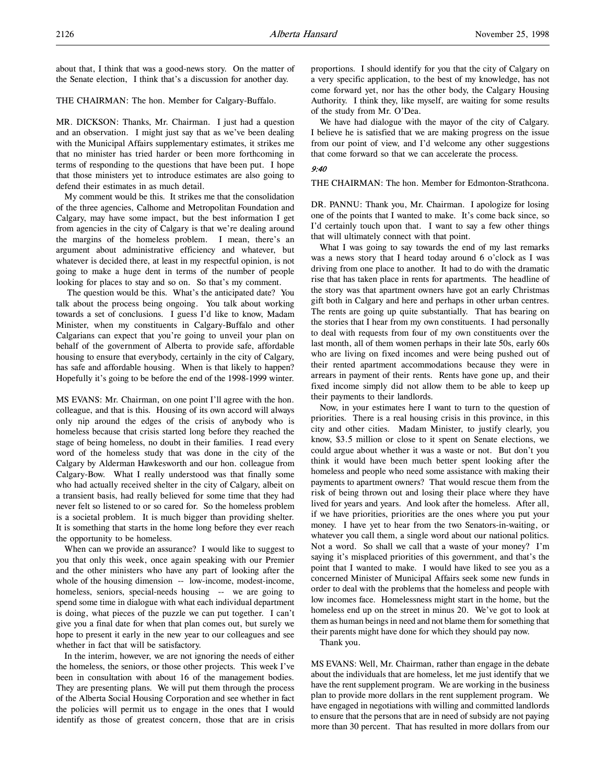about that, I think that was a good-news story. On the matter of the Senate election, I think that's a discussion for another day.

#### THE CHAIRMAN: The hon. Member for Calgary-Buffalo.

MR. DICKSON: Thanks, Mr. Chairman. I just had a question and an observation. I might just say that as we've been dealing with the Municipal Affairs supplementary estimates, it strikes me that no minister has tried harder or been more forthcoming in terms of responding to the questions that have been put. I hope that those ministers yet to introduce estimates are also going to defend their estimates in as much detail.

My comment would be this. It strikes me that the consolidation of the three agencies, Calhome and Metropolitan Foundation and Calgary, may have some impact, but the best information I get from agencies in the city of Calgary is that we're dealing around the margins of the homeless problem. I mean, there's an argument about administrative efficiency and whatever, but whatever is decided there, at least in my respectful opinion, is not going to make a huge dent in terms of the number of people looking for places to stay and so on. So that's my comment.

 The question would be this. What's the anticipated date? You talk about the process being ongoing. You talk about working towards a set of conclusions. I guess I'd like to know, Madam Minister, when my constituents in Calgary-Buffalo and other Calgarians can expect that you're going to unveil your plan on behalf of the government of Alberta to provide safe, affordable housing to ensure that everybody, certainly in the city of Calgary, has safe and affordable housing. When is that likely to happen? Hopefully it's going to be before the end of the 1998-1999 winter.

MS EVANS: Mr. Chairman, on one point I'll agree with the hon. colleague, and that is this. Housing of its own accord will always only nip around the edges of the crisis of anybody who is homeless because that crisis started long before they reached the stage of being homeless, no doubt in their families. I read every word of the homeless study that was done in the city of the Calgary by Alderman Hawkesworth and our hon. colleague from Calgary-Bow. What I really understood was that finally some who had actually received shelter in the city of Calgary, albeit on a transient basis, had really believed for some time that they had never felt so listened to or so cared for. So the homeless problem is a societal problem. It is much bigger than providing shelter. It is something that starts in the home long before they ever reach the opportunity to be homeless.

When can we provide an assurance? I would like to suggest to you that only this week, once again speaking with our Premier and the other ministers who have any part of looking after the whole of the housing dimension -- low-income, modest-income, homeless, seniors, special-needs housing -- we are going to spend some time in dialogue with what each individual department is doing, what pieces of the puzzle we can put together. I can't give you a final date for when that plan comes out, but surely we hope to present it early in the new year to our colleagues and see whether in fact that will be satisfactory.

In the interim, however, we are not ignoring the needs of either the homeless, the seniors, or those other projects. This week I've been in consultation with about 16 of the management bodies. They are presenting plans. We will put them through the process of the Alberta Social Housing Corporation and see whether in fact the policies will permit us to engage in the ones that I would identify as those of greatest concern, those that are in crisis

proportions. I should identify for you that the city of Calgary on a very specific application, to the best of my knowledge, has not come forward yet, nor has the other body, the Calgary Housing Authority. I think they, like myself, are waiting for some results of the study from Mr. O'Dea.

We have had dialogue with the mayor of the city of Calgary. I believe he is satisfied that we are making progress on the issue from our point of view, and I'd welcome any other suggestions that come forward so that we can accelerate the process.

#### 9:40

THE CHAIRMAN: The hon. Member for Edmonton-Strathcona.

DR. PANNU: Thank you, Mr. Chairman. I apologize for losing one of the points that I wanted to make. It's come back since, so I'd certainly touch upon that. I want to say a few other things that will ultimately connect with that point.

What I was going to say towards the end of my last remarks was a news story that I heard today around 6 o'clock as I was driving from one place to another. It had to do with the dramatic rise that has taken place in rents for apartments. The headline of the story was that apartment owners have got an early Christmas gift both in Calgary and here and perhaps in other urban centres. The rents are going up quite substantially. That has bearing on the stories that I hear from my own constituents. I had personally to deal with requests from four of my own constituents over the last month, all of them women perhaps in their late 50s, early 60s who are living on fixed incomes and were being pushed out of their rented apartment accommodations because they were in arrears in payment of their rents. Rents have gone up, and their fixed income simply did not allow them to be able to keep up their payments to their landlords.

Now, in your estimates here I want to turn to the question of priorities. There is a real housing crisis in this province, in this city and other cities. Madam Minister, to justify clearly, you know, \$3.5 million or close to it spent on Senate elections, we could argue about whether it was a waste or not. But don't you think it would have been much better spent looking after the homeless and people who need some assistance with making their payments to apartment owners? That would rescue them from the risk of being thrown out and losing their place where they have lived for years and years. And look after the homeless. After all, if we have priorities, priorities are the ones where you put your money. I have yet to hear from the two Senators-in-waiting, or whatever you call them, a single word about our national politics. Not a word. So shall we call that a waste of your money? I'm saying it's misplaced priorities of this government, and that's the point that I wanted to make. I would have liked to see you as a concerned Minister of Municipal Affairs seek some new funds in order to deal with the problems that the homeless and people with low incomes face. Homelessness might start in the home, but the homeless end up on the street in minus 20. We've got to look at them as human beings in need and not blame them for something that their parents might have done for which they should pay now.

Thank you.

MS EVANS: Well, Mr. Chairman, rather than engage in the debate about the individuals that are homeless, let me just identify that we have the rent supplement program. We are working in the business plan to provide more dollars in the rent supplement program. We have engaged in negotiations with willing and committed landlords to ensure that the persons that are in need of subsidy are not paying more than 30 percent. That has resulted in more dollars from our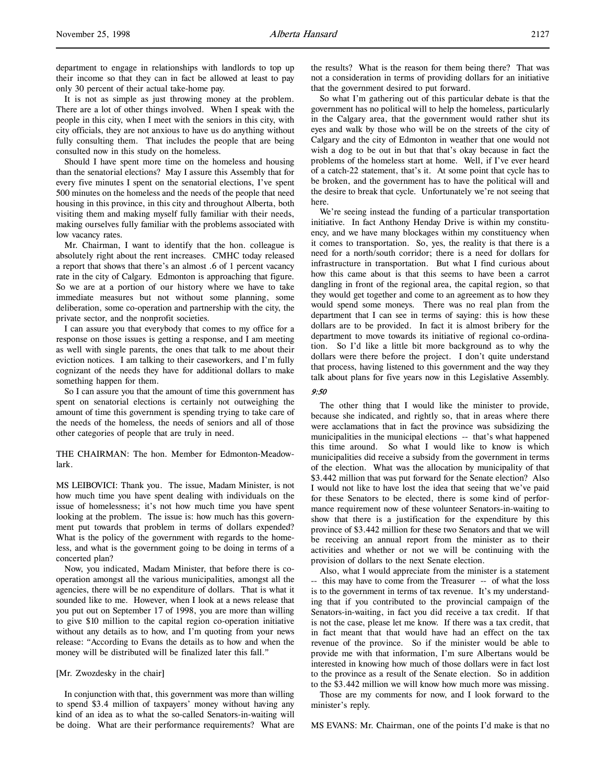department to engage in relationships with landlords to top up their income so that they can in fact be allowed at least to pay only 30 percent of their actual take-home pay.

It is not as simple as just throwing money at the problem. There are a lot of other things involved. When I speak with the people in this city, when I meet with the seniors in this city, with city officials, they are not anxious to have us do anything without fully consulting them. That includes the people that are being consulted now in this study on the homeless.

Should I have spent more time on the homeless and housing than the senatorial elections? May I assure this Assembly that for every five minutes I spent on the senatorial elections, I've spent 500 minutes on the homeless and the needs of the people that need housing in this province, in this city and throughout Alberta, both visiting them and making myself fully familiar with their needs, making ourselves fully familiar with the problems associated with low vacancy rates.

Mr. Chairman, I want to identify that the hon. colleague is absolutely right about the rent increases. CMHC today released a report that shows that there's an almost .6 of 1 percent vacancy rate in the city of Calgary. Edmonton is approaching that figure. So we are at a portion of our history where we have to take immediate measures but not without some planning, some deliberation, some co-operation and partnership with the city, the private sector, and the nonprofit societies.

I can assure you that everybody that comes to my office for a response on those issues is getting a response, and I am meeting as well with single parents, the ones that talk to me about their eviction notices. I am talking to their caseworkers, and I'm fully cognizant of the needs they have for additional dollars to make something happen for them.

So I can assure you that the amount of time this government has spent on senatorial elections is certainly not outweighing the amount of time this government is spending trying to take care of the needs of the homeless, the needs of seniors and all of those other categories of people that are truly in need.

# THE CHAIRMAN: The hon. Member for Edmonton-Meadowlark.

MS LEIBOVICI: Thank you. The issue, Madam Minister, is not how much time you have spent dealing with individuals on the issue of homelessness; it's not how much time you have spent looking at the problem. The issue is: how much has this government put towards that problem in terms of dollars expended? What is the policy of the government with regards to the homeless, and what is the government going to be doing in terms of a concerted plan?

Now, you indicated, Madam Minister, that before there is cooperation amongst all the various municipalities, amongst all the agencies, there will be no expenditure of dollars. That is what it sounded like to me. However, when I look at a news release that you put out on September 17 of 1998, you are more than willing to give \$10 million to the capital region co-operation initiative without any details as to how, and I'm quoting from your news release: "According to Evans the details as to how and when the money will be distributed will be finalized later this fall."

## [Mr. Zwozdesky in the chair]

In conjunction with that, this government was more than willing to spend \$3.4 million of taxpayers' money without having any kind of an idea as to what the so-called Senators-in-waiting will be doing. What are their performance requirements? What are

the results? What is the reason for them being there? That was not a consideration in terms of providing dollars for an initiative that the government desired to put forward.

So what I'm gathering out of this particular debate is that the government has no political will to help the homeless, particularly in the Calgary area, that the government would rather shut its eyes and walk by those who will be on the streets of the city of Calgary and the city of Edmonton in weather that one would not wish a dog to be out in but that that's okay because in fact the problems of the homeless start at home. Well, if I've ever heard of a catch-22 statement, that's it. At some point that cycle has to be broken, and the government has to have the political will and the desire to break that cycle. Unfortunately we're not seeing that here.

We're seeing instead the funding of a particular transportation initiative. In fact Anthony Henday Drive is within my constituency, and we have many blockages within my constituency when it comes to transportation. So, yes, the reality is that there is a need for a north/south corridor; there is a need for dollars for infrastructure in transportation. But what I find curious about how this came about is that this seems to have been a carrot dangling in front of the regional area, the capital region, so that they would get together and come to an agreement as to how they would spend some moneys. There was no real plan from the department that I can see in terms of saying: this is how these dollars are to be provided. In fact it is almost bribery for the department to move towards its initiative of regional co-ordination. So I'd like a little bit more background as to why the dollars were there before the project. I don't quite understand that process, having listened to this government and the way they talk about plans for five years now in this Legislative Assembly.

# 9:50

The other thing that I would like the minister to provide, because she indicated, and rightly so, that in areas where there were acclamations that in fact the province was subsidizing the municipalities in the municipal elections -- that's what happened this time around. So what I would like to know is which municipalities did receive a subsidy from the government in terms of the election. What was the allocation by municipality of that \$3.442 million that was put forward for the Senate election? Also I would not like to have lost the idea that seeing that we've paid for these Senators to be elected, there is some kind of performance requirement now of these volunteer Senators-in-waiting to show that there is a justification for the expenditure by this province of \$3.442 million for these two Senators and that we will be receiving an annual report from the minister as to their activities and whether or not we will be continuing with the provision of dollars to the next Senate election.

Also, what I would appreciate from the minister is a statement -- this may have to come from the Treasurer -- of what the loss is to the government in terms of tax revenue. It's my understanding that if you contributed to the provincial campaign of the Senators-in-waiting, in fact you did receive a tax credit. If that is not the case, please let me know. If there was a tax credit, that in fact meant that that would have had an effect on the tax revenue of the province. So if the minister would be able to provide me with that information, I'm sure Albertans would be interested in knowing how much of those dollars were in fact lost to the province as a result of the Senate election. So in addition to the \$3.442 million we will know how much more was missing.

Those are my comments for now, and I look forward to the minister's reply.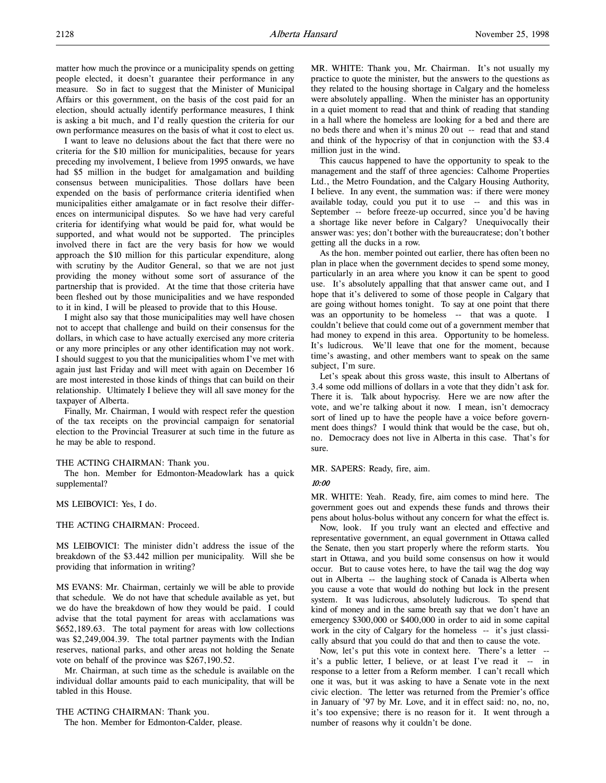matter how much the province or a municipality spends on getting people elected, it doesn't guarantee their performance in any measure. So in fact to suggest that the Minister of Municipal Affairs or this government, on the basis of the cost paid for an election, should actually identify performance measures, I think is asking a bit much, and I'd really question the criteria for our own performance measures on the basis of what it cost to elect us.

I want to leave no delusions about the fact that there were no criteria for the \$10 million for municipalities, because for years preceding my involvement, I believe from 1995 onwards, we have had \$5 million in the budget for amalgamation and building consensus between municipalities. Those dollars have been expended on the basis of performance criteria identified when municipalities either amalgamate or in fact resolve their differences on intermunicipal disputes. So we have had very careful criteria for identifying what would be paid for, what would be supported, and what would not be supported. The principles involved there in fact are the very basis for how we would approach the \$10 million for this particular expenditure, along with scrutiny by the Auditor General, so that we are not just providing the money without some sort of assurance of the partnership that is provided. At the time that those criteria have been fleshed out by those municipalities and we have responded to it in kind, I will be pleased to provide that to this House.

I might also say that those municipalities may well have chosen not to accept that challenge and build on their consensus for the dollars, in which case to have actually exercised any more criteria or any more principles or any other identification may not work. I should suggest to you that the municipalities whom I've met with again just last Friday and will meet with again on December 16 are most interested in those kinds of things that can build on their relationship. Ultimately I believe they will all save money for the taxpayer of Alberta.

Finally, Mr. Chairman, I would with respect refer the question of the tax receipts on the provincial campaign for senatorial election to the Provincial Treasurer at such time in the future as he may be able to respond.

#### THE ACTING CHAIRMAN: Thank you.

The hon. Member for Edmonton-Meadowlark has a quick supplemental?

MS LEIBOVICI: Yes, I do.

### THE ACTING CHAIRMAN: Proceed.

MS LEIBOVICI: The minister didn't address the issue of the breakdown of the \$3.442 million per municipality. Will she be providing that information in writing?

MS EVANS: Mr. Chairman, certainly we will be able to provide that schedule. We do not have that schedule available as yet, but we do have the breakdown of how they would be paid. I could advise that the total payment for areas with acclamations was \$652,189.63. The total payment for areas with low collections was \$2,249,004.39. The total partner payments with the Indian reserves, national parks, and other areas not holding the Senate vote on behalf of the province was \$267,190.52.

Mr. Chairman, at such time as the schedule is available on the individual dollar amounts paid to each municipality, that will be tabled in this House.

THE ACTING CHAIRMAN: Thank you.

The hon. Member for Edmonton-Calder, please.

MR. WHITE: Thank you, Mr. Chairman. It's not usually my practice to quote the minister, but the answers to the questions as they related to the housing shortage in Calgary and the homeless were absolutely appalling. When the minister has an opportunity in a quiet moment to read that and think of reading that standing in a hall where the homeless are looking for a bed and there are no beds there and when it's minus 20 out -- read that and stand and think of the hypocrisy of that in conjunction with the \$3.4 million just in the wind.

This caucus happened to have the opportunity to speak to the management and the staff of three agencies: Calhome Properties Ltd., the Metro Foundation, and the Calgary Housing Authority, I believe. In any event, the summation was: if there were money available today, could you put it to use -- and this was in September -- before freeze-up occurred, since you'd be having a shortage like never before in Calgary? Unequivocally their answer was: yes; don't bother with the bureaucratese; don't bother getting all the ducks in a row.

As the hon. member pointed out earlier, there has often been no plan in place when the government decides to spend some money, particularly in an area where you know it can be spent to good use. It's absolutely appalling that that answer came out, and I hope that it's delivered to some of those people in Calgary that are going without homes tonight. To say at one point that there was an opportunity to be homeless -- that was a quote. I couldn't believe that could come out of a government member that had money to expend in this area. Opportunity to be homeless. It's ludicrous. We'll leave that one for the moment, because time's awasting, and other members want to speak on the same subject, I'm sure.

Let's speak about this gross waste, this insult to Albertans of 3.4 some odd millions of dollars in a vote that they didn't ask for. There it is. Talk about hypocrisy. Here we are now after the vote, and we're talking about it now. I mean, isn't democracy sort of lined up to have the people have a voice before government does things? I would think that would be the case, but oh, no. Democracy does not live in Alberta in this case. That's for sure.

MR. SAPERS: Ready, fire, aim.

#### 10:00

MR. WHITE: Yeah. Ready, fire, aim comes to mind here. The government goes out and expends these funds and throws their pens about holus-bolus without any concern for what the effect is.

Now, look. If you truly want an elected and effective and representative government, an equal government in Ottawa called the Senate, then you start properly where the reform starts. You start in Ottawa, and you build some consensus on how it would occur. But to cause votes here, to have the tail wag the dog way out in Alberta -- the laughing stock of Canada is Alberta when you cause a vote that would do nothing but lock in the present system. It was ludicrous, absolutely ludicrous. To spend that kind of money and in the same breath say that we don't have an emergency \$300,000 or \$400,000 in order to aid in some capital work in the city of Calgary for the homeless -- it's just classically absurd that you could do that and then to cause the vote.

Now, let's put this vote in context here. There's a letter - it's a public letter, I believe, or at least I've read it -- in response to a letter from a Reform member. I can't recall which one it was, but it was asking to have a Senate vote in the next civic election. The letter was returned from the Premier's office in January of '97 by Mr. Love, and it in effect said: no, no, no, it's too expensive; there is no reason for it. It went through a number of reasons why it couldn't be done.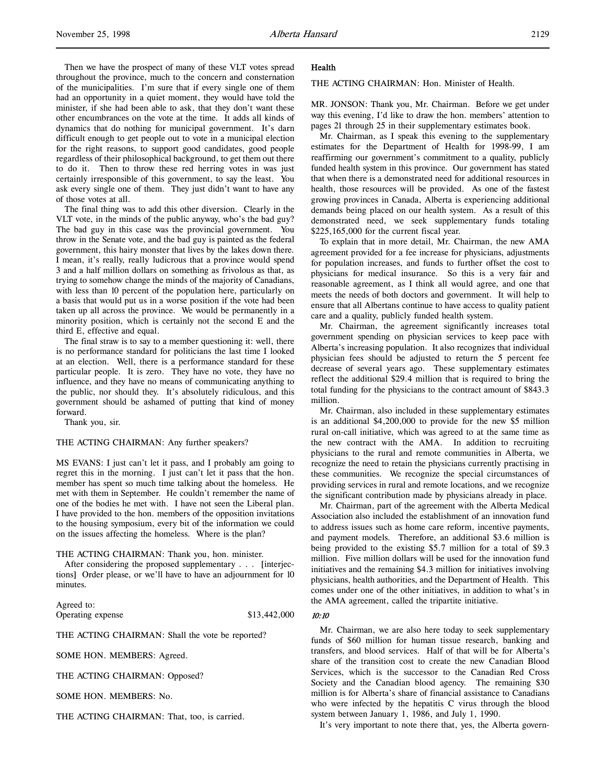Then we have the prospect of many of these VLT votes spread throughout the province, much to the concern and consternation of the municipalities. I'm sure that if every single one of them had an opportunity in a quiet moment, they would have told the minister, if she had been able to ask, that they don't want these other encumbrances on the vote at the time. It adds all kinds of dynamics that do nothing for municipal government. It's darn difficult enough to get people out to vote in a municipal election for the right reasons, to support good candidates, good people regardless of their philosophical background, to get them out there to do it. Then to throw these red herring votes in was just certainly irresponsible of this government, to say the least. You ask every single one of them. They just didn't want to have any of those votes at all.

The final thing was to add this other diversion. Clearly in the VLT vote, in the minds of the public anyway, who's the bad guy? The bad guy in this case was the provincial government. You throw in the Senate vote, and the bad guy is painted as the federal government, this hairy monster that lives by the lakes down there. I mean, it's really, really ludicrous that a province would spend 3 and a half million dollars on something as frivolous as that, as trying to somehow change the minds of the majority of Canadians, with less than 10 percent of the population here, particularly on a basis that would put us in a worse position if the vote had been taken up all across the province. We would be permanently in a minority position, which is certainly not the second E and the third E, effective and equal.

The final straw is to say to a member questioning it: well, there is no performance standard for politicians the last time I looked at an election. Well, there is a performance standard for these particular people. It is zero. They have no vote, they have no influence, and they have no means of communicating anything to the public, nor should they. It's absolutely ridiculous, and this government should be ashamed of putting that kind of money forward.

Thank you, sir.

#### THE ACTING CHAIRMAN: Any further speakers?

MS EVANS: I just can't let it pass, and I probably am going to regret this in the morning. I just can't let it pass that the hon. member has spent so much time talking about the homeless. He met with them in September. He couldn't remember the name of one of the bodies he met with. I have not seen the Liberal plan. I have provided to the hon. members of the opposition invitations to the housing symposium, every bit of the information we could on the issues affecting the homeless. Where is the plan?

# THE ACTING CHAIRMAN: Thank you, hon. minister.

After considering the proposed supplementary . . . [interjections] Order please, or we'll have to have an adjournment for 10 minutes.

Agreed to: Operating expense \$13,442,000

THE ACTING CHAIRMAN: Shall the vote be reported?

SOME HON. MEMBERS: Agreed.

THE ACTING CHAIRMAN: Opposed?

SOME HON. MEMBERS: No.

THE ACTING CHAIRMAN: That, too, is carried.

#### Health

THE ACTING CHAIRMAN: Hon. Minister of Health.

MR. JONSON: Thank you, Mr. Chairman. Before we get under way this evening, I'd like to draw the hon. members' attention to pages 21 through 25 in their supplementary estimates book.

Mr. Chairman, as I speak this evening to the supplementary estimates for the Department of Health for 1998-99, I am reaffirming our government's commitment to a quality, publicly funded health system in this province. Our government has stated that when there is a demonstrated need for additional resources in health, those resources will be provided. As one of the fastest growing provinces in Canada, Alberta is experiencing additional demands being placed on our health system. As a result of this demonstrated need, we seek supplementary funds totaling \$225,165,000 for the current fiscal year.

To explain that in more detail, Mr. Chairman, the new AMA agreement provided for a fee increase for physicians, adjustments for population increases, and funds to further offset the cost to physicians for medical insurance. So this is a very fair and reasonable agreement, as I think all would agree, and one that meets the needs of both doctors and government. It will help to ensure that all Albertans continue to have access to quality patient care and a quality, publicly funded health system.

Mr. Chairman, the agreement significantly increases total government spending on physician services to keep pace with Alberta's increasing population. It also recognizes that individual physician fees should be adjusted to return the 5 percent fee decrease of several years ago. These supplementary estimates reflect the additional \$29.4 million that is required to bring the total funding for the physicians to the contract amount of \$843.3 million.

Mr. Chairman, also included in these supplementary estimates is an additional \$4,200,000 to provide for the new \$5 million rural on-call initiative, which was agreed to at the same time as the new contract with the AMA. In addition to recruiting physicians to the rural and remote communities in Alberta, we recognize the need to retain the physicians currently practising in these communities. We recognize the special circumstances of providing services in rural and remote locations, and we recognize the significant contribution made by physicians already in place.

Mr. Chairman, part of the agreement with the Alberta Medical Association also included the establishment of an innovation fund to address issues such as home care reform, incentive payments, and payment models. Therefore, an additional \$3.6 million is being provided to the existing \$5.7 million for a total of \$9.3 million. Five million dollars will be used for the innovation fund initiatives and the remaining \$4.3 million for initiatives involving physicians, health authorities, and the Department of Health. This comes under one of the other initiatives, in addition to what's in the AMA agreement, called the tripartite initiative.

#### 10:10

Mr. Chairman, we are also here today to seek supplementary funds of \$60 million for human tissue research, banking and transfers, and blood services. Half of that will be for Alberta's share of the transition cost to create the new Canadian Blood Services, which is the successor to the Canadian Red Cross Society and the Canadian blood agency. The remaining \$30 million is for Alberta's share of financial assistance to Canadians who were infected by the hepatitis C virus through the blood system between January 1, 1986, and July 1, 1990.

It's very important to note there that, yes, the Alberta govern-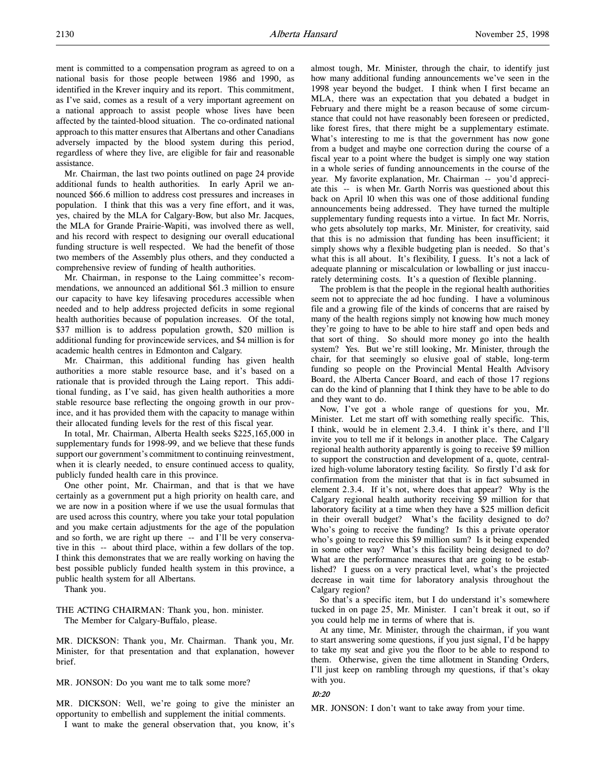ment is committed to a compensation program as agreed to on a national basis for those people between 1986 and 1990, as identified in the Krever inquiry and its report. This commitment, as I've said, comes as a result of a very important agreement on a national approach to assist people whose lives have been affected by the tainted-blood situation. The co-ordinated national approach to this matter ensures that Albertans and other Canadians adversely impacted by the blood system during this period, regardless of where they live, are eligible for fair and reasonable assistance.

Mr. Chairman, the last two points outlined on page 24 provide additional funds to health authorities. In early April we announced \$66.6 million to address cost pressures and increases in population. I think that this was a very fine effort, and it was, yes, chaired by the MLA for Calgary-Bow, but also Mr. Jacques, the MLA for Grande Prairie-Wapiti, was involved there as well, and his record with respect to designing our overall educational funding structure is well respected. We had the benefit of those two members of the Assembly plus others, and they conducted a comprehensive review of funding of health authorities.

Mr. Chairman, in response to the Laing committee's recommendations, we announced an additional \$61.3 million to ensure our capacity to have key lifesaving procedures accessible when needed and to help address projected deficits in some regional health authorities because of population increases. Of the total, \$37 million is to address population growth, \$20 million is additional funding for provincewide services, and \$4 million is for academic health centres in Edmonton and Calgary.

Mr. Chairman, this additional funding has given health authorities a more stable resource base, and it's based on a rationale that is provided through the Laing report. This additional funding, as I've said, has given health authorities a more stable resource base reflecting the ongoing growth in our province, and it has provided them with the capacity to manage within their allocated funding levels for the rest of this fiscal year.

In total, Mr. Chairman, Alberta Health seeks \$225,165,000 in supplementary funds for 1998-99, and we believe that these funds support our government's commitment to continuing reinvestment, when it is clearly needed, to ensure continued access to quality, publicly funded health care in this province.

One other point, Mr. Chairman, and that is that we have certainly as a government put a high priority on health care, and we are now in a position where if we use the usual formulas that are used across this country, where you take your total population and you make certain adjustments for the age of the population and so forth, we are right up there -- and I'll be very conservative in this -- about third place, within a few dollars of the top. I think this demonstrates that we are really working on having the best possible publicly funded health system in this province, a public health system for all Albertans.

Thank you.

THE ACTING CHAIRMAN: Thank you, hon. minister. The Member for Calgary-Buffalo, please.

MR. DICKSON: Thank you, Mr. Chairman. Thank you, Mr. Minister, for that presentation and that explanation, however brief.

MR. JONSON: Do you want me to talk some more?

MR. DICKSON: Well, we're going to give the minister an opportunity to embellish and supplement the initial comments.

I want to make the general observation that, you know, it's

almost tough, Mr. Minister, through the chair, to identify just how many additional funding announcements we've seen in the 1998 year beyond the budget. I think when I first became an MLA, there was an expectation that you debated a budget in February and there might be a reason because of some circumstance that could not have reasonably been foreseen or predicted, like forest fires, that there might be a supplementary estimate. What's interesting to me is that the government has now gone from a budget and maybe one correction during the course of a fiscal year to a point where the budget is simply one way station in a whole series of funding announcements in the course of the year. My favorite explanation, Mr. Chairman -- you'd appreciate this -- is when Mr. Garth Norris was questioned about this back on April 10 when this was one of those additional funding announcements being addressed. They have turned the multiple supplementary funding requests into a virtue. In fact Mr. Norris, who gets absolutely top marks, Mr. Minister, for creativity, said that this is no admission that funding has been insufficient; it simply shows why a flexible budgeting plan is needed. So that's what this is all about. It's flexibility, I guess. It's not a lack of adequate planning or miscalculation or lowballing or just inaccurately determining costs. It's a question of flexible planning.

The problem is that the people in the regional health authorities seem not to appreciate the ad hoc funding. I have a voluminous file and a growing file of the kinds of concerns that are raised by many of the health regions simply not knowing how much money they're going to have to be able to hire staff and open beds and that sort of thing. So should more money go into the health system? Yes. But we're still looking, Mr. Minister, through the chair, for that seemingly so elusive goal of stable, long-term funding so people on the Provincial Mental Health Advisory Board, the Alberta Cancer Board, and each of those 17 regions can do the kind of planning that I think they have to be able to do and they want to do.

Now, I've got a whole range of questions for you, Mr. Minister. Let me start off with something really specific. This, I think, would be in element 2.3.4. I think it's there, and I'll invite you to tell me if it belongs in another place. The Calgary regional health authority apparently is going to receive \$9 million to support the construction and development of a, quote, centralized high-volume laboratory testing facility. So firstly I'd ask for confirmation from the minister that that is in fact subsumed in element 2.3.4. If it's not, where does that appear? Why is the Calgary regional health authority receiving \$9 million for that laboratory facility at a time when they have a \$25 million deficit in their overall budget? What's the facility designed to do? Who's going to receive the funding? Is this a private operator who's going to receive this \$9 million sum? Is it being expended in some other way? What's this facility being designed to do? What are the performance measures that are going to be established? I guess on a very practical level, what's the projected decrease in wait time for laboratory analysis throughout the Calgary region?

So that's a specific item, but I do understand it's somewhere tucked in on page 25, Mr. Minister. I can't break it out, so if you could help me in terms of where that is.

At any time, Mr. Minister, through the chairman, if you want to start answering some questions, if you just signal, I'd be happy to take my seat and give you the floor to be able to respond to them. Otherwise, given the time allotment in Standing Orders, I'll just keep on rambling through my questions, if that's okay with you.

## 10:20

MR. JONSON: I don't want to take away from your time.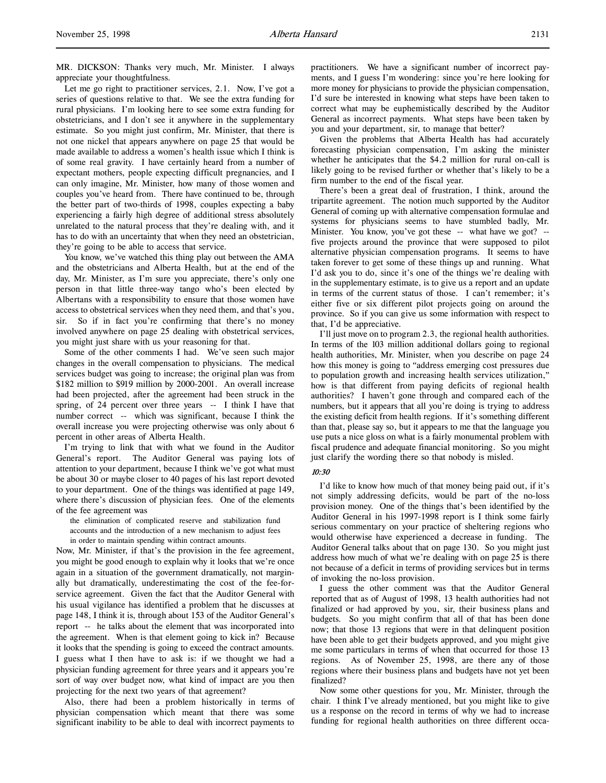MR. DICKSON: Thanks very much, Mr. Minister. I always appreciate your thoughtfulness.

Let me go right to practitioner services, 2.1. Now, I've got a series of questions relative to that. We see the extra funding for rural physicians. I'm looking here to see some extra funding for obstetricians, and I don't see it anywhere in the supplementary estimate. So you might just confirm, Mr. Minister, that there is not one nickel that appears anywhere on page 25 that would be made available to address a women's health issue which I think is of some real gravity. I have certainly heard from a number of expectant mothers, people expecting difficult pregnancies, and I can only imagine, Mr. Minister, how many of those women and couples you've heard from. There have continued to be, through the better part of two-thirds of 1998, couples expecting a baby experiencing a fairly high degree of additional stress absolutely unrelated to the natural process that they're dealing with, and it has to do with an uncertainty that when they need an obstetrician, they're going to be able to access that service.

You know, we've watched this thing play out between the AMA and the obstetricians and Alberta Health, but at the end of the day, Mr. Minister, as I'm sure you appreciate, there's only one person in that little three-way tango who's been elected by Albertans with a responsibility to ensure that those women have access to obstetrical services when they need them, and that's you, sir. So if in fact you're confirming that there's no money involved anywhere on page 25 dealing with obstetrical services, you might just share with us your reasoning for that.

Some of the other comments I had. We've seen such major changes in the overall compensation to physicians. The medical services budget was going to increase; the original plan was from \$182 million to \$919 million by 2000-2001. An overall increase had been projected, after the agreement had been struck in the spring, of 24 percent over three years -- I think I have that number correct -- which was significant, because I think the overall increase you were projecting otherwise was only about 6 percent in other areas of Alberta Health.

I'm trying to link that with what we found in the Auditor General's report. The Auditor General was paying lots of attention to your department, because I think we've got what must be about 30 or maybe closer to 40 pages of his last report devoted to your department. One of the things was identified at page 149, where there's discussion of physician fees. One of the elements of the fee agreement was

the elimination of complicated reserve and stabilization fund accounts and the introduction of a new mechanism to adjust fees in order to maintain spending within contract amounts.

Now, Mr. Minister, if that's the provision in the fee agreement, you might be good enough to explain why it looks that we're once again in a situation of the government dramatically, not marginally but dramatically, underestimating the cost of the fee-forservice agreement. Given the fact that the Auditor General with his usual vigilance has identified a problem that he discusses at page 148, I think it is, through about 153 of the Auditor General's report -- he talks about the element that was incorporated into the agreement. When is that element going to kick in? Because it looks that the spending is going to exceed the contract amounts. I guess what I then have to ask is: if we thought we had a physician funding agreement for three years and it appears you're sort of way over budget now, what kind of impact are you then projecting for the next two years of that agreement?

Also, there had been a problem historically in terms of physician compensation which meant that there was some significant inability to be able to deal with incorrect payments to

practitioners. We have a significant number of incorrect payments, and I guess I'm wondering: since you're here looking for more money for physicians to provide the physician compensation, I'd sure be interested in knowing what steps have been taken to correct what may be euphemistically described by the Auditor General as incorrect payments. What steps have been taken by you and your department, sir, to manage that better?

Given the problems that Alberta Health has had accurately forecasting physician compensation, I'm asking the minister whether he anticipates that the \$4.2 million for rural on-call is likely going to be revised further or whether that's likely to be a firm number to the end of the fiscal year.

There's been a great deal of frustration, I think, around the tripartite agreement. The notion much supported by the Auditor General of coming up with alternative compensation formulae and systems for physicians seems to have stumbled badly, Mr. Minister. You know, you've got these -- what have we got? -five projects around the province that were supposed to pilot alternative physician compensation programs. It seems to have taken forever to get some of these things up and running. What I'd ask you to do, since it's one of the things we're dealing with in the supplementary estimate, is to give us a report and an update in terms of the current status of those. I can't remember; it's either five or six different pilot projects going on around the province. So if you can give us some information with respect to that, I'd be appreciative.

I'll just move on to program 2.3, the regional health authorities. In terms of the 103 million additional dollars going to regional health authorities, Mr. Minister, when you describe on page 24 how this money is going to "address emerging cost pressures due to population growth and increasing health services utilization," how is that different from paying deficits of regional health authorities? I haven't gone through and compared each of the numbers, but it appears that all you're doing is trying to address the existing deficit from health regions. If it's something different than that, please say so, but it appears to me that the language you use puts a nice gloss on what is a fairly monumental problem with fiscal prudence and adequate financial monitoring. So you might just clarify the wording there so that nobody is misled.

#### 10:30

I'd like to know how much of that money being paid out, if it's not simply addressing deficits, would be part of the no-loss provision money. One of the things that's been identified by the Auditor General in his 1997-1998 report is I think some fairly serious commentary on your practice of sheltering regions who would otherwise have experienced a decrease in funding. The Auditor General talks about that on page 130. So you might just address how much of what we're dealing with on page 25 is there not because of a deficit in terms of providing services but in terms of invoking the no-loss provision.

I guess the other comment was that the Auditor General reported that as of August of 1998, 13 health authorities had not finalized or had approved by you, sir, their business plans and budgets. So you might confirm that all of that has been done now; that those 13 regions that were in that delinquent position have been able to get their budgets approved, and you might give me some particulars in terms of when that occurred for those 13 regions. As of November 25, 1998, are there any of those regions where their business plans and budgets have not yet been finalized?

Now some other questions for you, Mr. Minister, through the chair. I think I've already mentioned, but you might like to give us a response on the record in terms of why we had to increase funding for regional health authorities on three different occa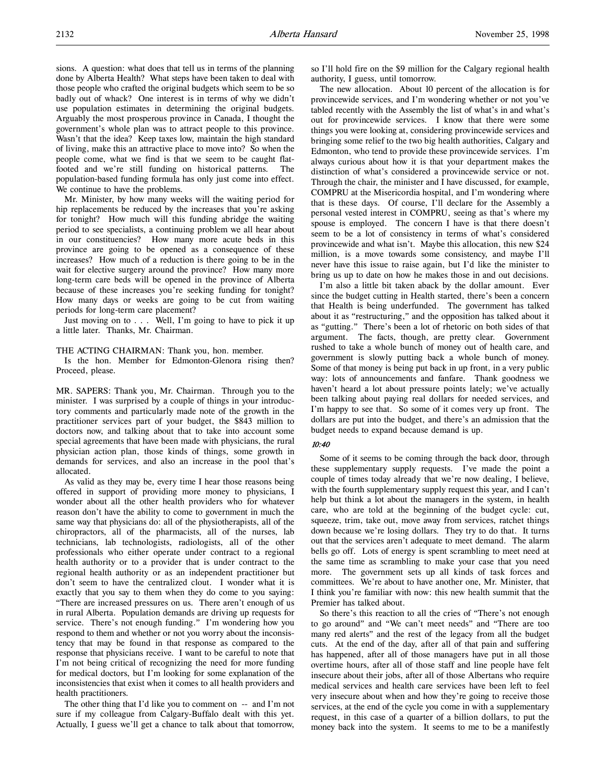badly out of whack? One interest is in terms of why we didn't use population estimates in determining the original budgets. Arguably the most prosperous province in Canada, I thought the government's whole plan was to attract people to this province. Wasn't that the idea? Keep taxes low, maintain the high standard of living, make this an attractive place to move into? So when the people come, what we find is that we seem to be caught flatfooted and we're still funding on historical patterns. The population-based funding formula has only just come into effect. We continue to have the problems.

Mr. Minister, by how many weeks will the waiting period for hip replacements be reduced by the increases that you're asking for tonight? How much will this funding abridge the waiting period to see specialists, a continuing problem we all hear about in our constituencies? How many more acute beds in this province are going to be opened as a consequence of these increases? How much of a reduction is there going to be in the wait for elective surgery around the province? How many more long-term care beds will be opened in the province of Alberta because of these increases you're seeking funding for tonight? How many days or weeks are going to be cut from waiting periods for long-term care placement?

Just moving on to . . . Well, I'm going to have to pick it up a little later. Thanks, Mr. Chairman.

# THE ACTING CHAIRMAN: Thank you, hon. member.

Is the hon. Member for Edmonton-Glenora rising then? Proceed, please.

MR. SAPERS: Thank you, Mr. Chairman. Through you to the minister. I was surprised by a couple of things in your introductory comments and particularly made note of the growth in the practitioner services part of your budget, the \$843 million to doctors now, and talking about that to take into account some special agreements that have been made with physicians, the rural physician action plan, those kinds of things, some growth in demands for services, and also an increase in the pool that's allocated.

As valid as they may be, every time I hear those reasons being offered in support of providing more money to physicians, I wonder about all the other health providers who for whatever reason don't have the ability to come to government in much the same way that physicians do: all of the physiotherapists, all of the chiropractors, all of the pharmacists, all of the nurses, lab technicians, lab technologists, radiologists, all of the other professionals who either operate under contract to a regional health authority or to a provider that is under contract to the regional health authority or as an independent practitioner but don't seem to have the centralized clout. I wonder what it is exactly that you say to them when they do come to you saying: "There are increased pressures on us. There aren't enough of us in rural Alberta. Population demands are driving up requests for service. There's not enough funding." I'm wondering how you respond to them and whether or not you worry about the inconsistency that may be found in that response as compared to the response that physicians receive. I want to be careful to note that I'm not being critical of recognizing the need for more funding for medical doctors, but I'm looking for some explanation of the inconsistencies that exist when it comes to all health providers and health practitioners.

The other thing that I'd like you to comment on -- and I'm not sure if my colleague from Calgary-Buffalo dealt with this yet. Actually, I guess we'll get a chance to talk about that tomorrow,

so I'll hold fire on the \$9 million for the Calgary regional health authority, I guess, until tomorrow.

The new allocation. About 10 percent of the allocation is for provincewide services, and I'm wondering whether or not you've tabled recently with the Assembly the list of what's in and what's out for provincewide services. I know that there were some things you were looking at, considering provincewide services and bringing some relief to the two big health authorities, Calgary and Edmonton, who tend to provide these provincewide services. I'm always curious about how it is that your department makes the distinction of what's considered a provincewide service or not. Through the chair, the minister and I have discussed, for example, COMPRU at the Misericordia hospital, and I'm wondering where that is these days. Of course, I'll declare for the Assembly a personal vested interest in COMPRU, seeing as that's where my spouse is employed. The concern I have is that there doesn't seem to be a lot of consistency in terms of what's considered provincewide and what isn't. Maybe this allocation, this new \$24 million, is a move towards some consistency, and maybe I'll never have this issue to raise again, but I'd like the minister to bring us up to date on how he makes those in and out decisions.

I'm also a little bit taken aback by the dollar amount. Ever since the budget cutting in Health started, there's been a concern that Health is being underfunded. The government has talked about it as "restructuring," and the opposition has talked about it as "gutting." There's been a lot of rhetoric on both sides of that argument. The facts, though, are pretty clear. Government rushed to take a whole bunch of money out of health care, and government is slowly putting back a whole bunch of money. Some of that money is being put back in up front, in a very public way: lots of announcements and fanfare. Thank goodness we haven't heard a lot about pressure points lately; we've actually been talking about paying real dollars for needed services, and I'm happy to see that. So some of it comes very up front. The dollars are put into the budget, and there's an admission that the budget needs to expand because demand is up.

## 10:40

Some of it seems to be coming through the back door, through these supplementary supply requests. I've made the point a couple of times today already that we're now dealing, I believe, with the fourth supplementary supply request this year, and I can't help but think a lot about the managers in the system, in health care, who are told at the beginning of the budget cycle: cut, squeeze, trim, take out, move away from services, ratchet things down because we're losing dollars. They try to do that. It turns out that the services aren't adequate to meet demand. The alarm bells go off. Lots of energy is spent scrambling to meet need at the same time as scrambling to make your case that you need more. The government sets up all kinds of task forces and committees. We're about to have another one, Mr. Minister, that I think you're familiar with now: this new health summit that the Premier has talked about.

So there's this reaction to all the cries of "There's not enough to go around" and "We can't meet needs" and "There are too many red alerts" and the rest of the legacy from all the budget cuts. At the end of the day, after all of that pain and suffering has happened, after all of those managers have put in all those overtime hours, after all of those staff and line people have felt insecure about their jobs, after all of those Albertans who require medical services and health care services have been left to feel very insecure about when and how they're going to receive those services, at the end of the cycle you come in with a supplementary request, in this case of a quarter of a billion dollars, to put the money back into the system. It seems to me to be a manifestly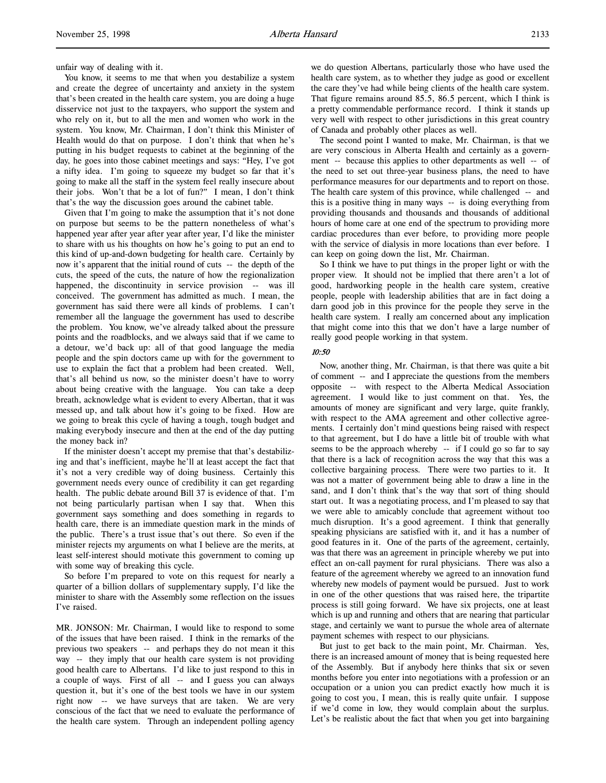unfair way of dealing with it.

You know, it seems to me that when you destabilize a system and create the degree of uncertainty and anxiety in the system that's been created in the health care system, you are doing a huge disservice not just to the taxpayers, who support the system and who rely on it, but to all the men and women who work in the system. You know, Mr. Chairman, I don't think this Minister of Health would do that on purpose. I don't think that when he's putting in his budget requests to cabinet at the beginning of the day, he goes into those cabinet meetings and says: "Hey, I've got a nifty idea. I'm going to squeeze my budget so far that it's going to make all the staff in the system feel really insecure about their jobs. Won't that be a lot of fun?" I mean, I don't think that's the way the discussion goes around the cabinet table.

Given that I'm going to make the assumption that it's not done on purpose but seems to be the pattern nonetheless of what's happened year after year after year after year, I'd like the minister to share with us his thoughts on how he's going to put an end to this kind of up-and-down budgeting for health care. Certainly by now it's apparent that the initial round of cuts -- the depth of the cuts, the speed of the cuts, the nature of how the regionalization happened, the discontinuity in service provision -- was ill conceived. The government has admitted as much. I mean, the government has said there were all kinds of problems. I can't remember all the language the government has used to describe the problem. You know, we've already talked about the pressure points and the roadblocks, and we always said that if we came to a detour, we'd back up: all of that good language the media people and the spin doctors came up with for the government to use to explain the fact that a problem had been created. Well, that's all behind us now, so the minister doesn't have to worry about being creative with the language. You can take a deep breath, acknowledge what is evident to every Albertan, that it was messed up, and talk about how it's going to be fixed. How are we going to break this cycle of having a tough, tough budget and making everybody insecure and then at the end of the day putting the money back in?

If the minister doesn't accept my premise that that's destabilizing and that's inefficient, maybe he'll at least accept the fact that it's not a very credible way of doing business. Certainly this government needs every ounce of credibility it can get regarding health. The public debate around Bill 37 is evidence of that. I'm not being particularly partisan when I say that. When this government says something and does something in regards to health care, there is an immediate question mark in the minds of the public. There's a trust issue that's out there. So even if the minister rejects my arguments on what I believe are the merits, at least self-interest should motivate this government to coming up with some way of breaking this cycle.

So before I'm prepared to vote on this request for nearly a quarter of a billion dollars of supplementary supply, I'd like the minister to share with the Assembly some reflection on the issues I've raised.

MR. JONSON: Mr. Chairman, I would like to respond to some of the issues that have been raised. I think in the remarks of the previous two speakers -- and perhaps they do not mean it this way -- they imply that our health care system is not providing good health care to Albertans. I'd like to just respond to this in a couple of ways. First of all -- and I guess you can always question it, but it's one of the best tools we have in our system right now -- we have surveys that are taken. We are very conscious of the fact that we need to evaluate the performance of the health care system. Through an independent polling agency

we do question Albertans, particularly those who have used the health care system, as to whether they judge as good or excellent the care they've had while being clients of the health care system. That figure remains around 85.5, 86.5 percent, which I think is a pretty commendable performance record. I think it stands up very well with respect to other jurisdictions in this great country of Canada and probably other places as well.

The second point I wanted to make, Mr. Chairman, is that we are very conscious in Alberta Health and certainly as a government -- because this applies to other departments as well -- of the need to set out three-year business plans, the need to have performance measures for our departments and to report on those. The health care system of this province, while challenged -- and this is a positive thing in many ways -- is doing everything from providing thousands and thousands and thousands of additional hours of home care at one end of the spectrum to providing more cardiac procedures than ever before, to providing more people with the service of dialysis in more locations than ever before. I can keep on going down the list, Mr. Chairman.

So I think we have to put things in the proper light or with the proper view. It should not be implied that there aren't a lot of good, hardworking people in the health care system, creative people, people with leadership abilities that are in fact doing a darn good job in this province for the people they serve in the health care system. I really am concerned about any implication that might come into this that we don't have a large number of really good people working in that system.

## 10:50

Now, another thing, Mr. Chairman, is that there was quite a bit of comment -- and I appreciate the questions from the members opposite -- with respect to the Alberta Medical Association agreement. I would like to just comment on that. Yes, the amounts of money are significant and very large, quite frankly, with respect to the AMA agreement and other collective agreements. I certainly don't mind questions being raised with respect to that agreement, but I do have a little bit of trouble with what seems to be the approach whereby -- if I could go so far to say that there is a lack of recognition across the way that this was a collective bargaining process. There were two parties to it. It was not a matter of government being able to draw a line in the sand, and I don't think that's the way that sort of thing should start out. It was a negotiating process, and I'm pleased to say that we were able to amicably conclude that agreement without too much disruption. It's a good agreement. I think that generally speaking physicians are satisfied with it, and it has a number of good features in it. One of the parts of the agreement, certainly, was that there was an agreement in principle whereby we put into effect an on-call payment for rural physicians. There was also a feature of the agreement whereby we agreed to an innovation fund whereby new models of payment would be pursued. Just to work in one of the other questions that was raised here, the tripartite process is still going forward. We have six projects, one at least which is up and running and others that are nearing that particular stage, and certainly we want to pursue the whole area of alternate payment schemes with respect to our physicians.

But just to get back to the main point, Mr. Chairman. Yes, there is an increased amount of money that is being requested here of the Assembly. But if anybody here thinks that six or seven months before you enter into negotiations with a profession or an occupation or a union you can predict exactly how much it is going to cost you, I mean, this is really quite unfair. I suppose if we'd come in low, they would complain about the surplus. Let's be realistic about the fact that when you get into bargaining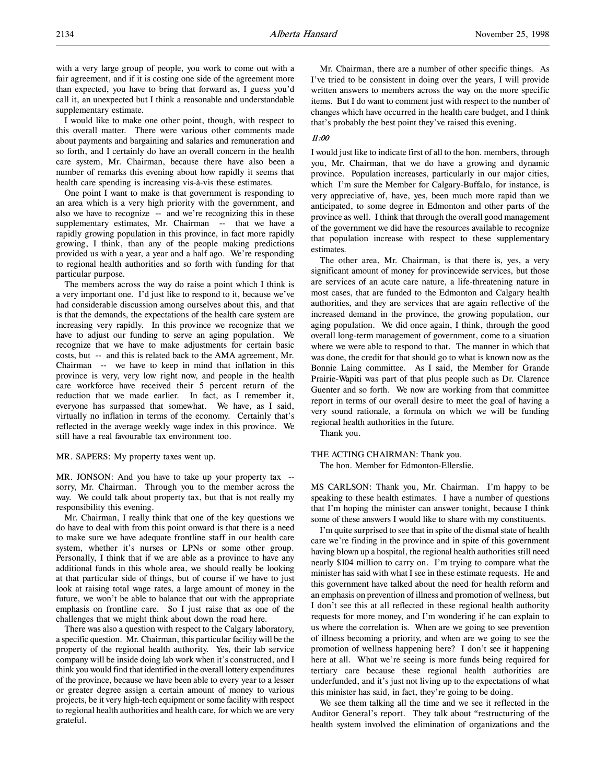with a very large group of people, you work to come out with a fair agreement, and if it is costing one side of the agreement more than expected, you have to bring that forward as, I guess you'd call it, an unexpected but I think a reasonable and understandable supplementary estimate.

I would like to make one other point, though, with respect to this overall matter. There were various other comments made about payments and bargaining and salaries and remuneration and so forth, and I certainly do have an overall concern in the health care system, Mr. Chairman, because there have also been a number of remarks this evening about how rapidly it seems that health care spending is increasing vis-à-vis these estimates.

One point I want to make is that government is responding to an area which is a very high priority with the government, and also we have to recognize -- and we're recognizing this in these supplementary estimates, Mr. Chairman -- that we have a rapidly growing population in this province, in fact more rapidly growing, I think, than any of the people making predictions provided us with a year, a year and a half ago. We're responding to regional health authorities and so forth with funding for that particular purpose.

The members across the way do raise a point which I think is a very important one. I'd just like to respond to it, because we've had considerable discussion among ourselves about this, and that is that the demands, the expectations of the health care system are increasing very rapidly. In this province we recognize that we have to adjust our funding to serve an aging population. We recognize that we have to make adjustments for certain basic costs, but -- and this is related back to the AMA agreement, Mr. Chairman -- we have to keep in mind that inflation in this province is very, very low right now, and people in the health care workforce have received their 5 percent return of the reduction that we made earlier. In fact, as I remember it, everyone has surpassed that somewhat. We have, as I said, virtually no inflation in terms of the economy. Certainly that's reflected in the average weekly wage index in this province. We still have a real favourable tax environment too.

## MR. SAPERS: My property taxes went up.

MR. JONSON: And you have to take up your property tax -sorry, Mr. Chairman. Through you to the member across the way. We could talk about property tax, but that is not really my responsibility this evening.

Mr. Chairman, I really think that one of the key questions we do have to deal with from this point onward is that there is a need to make sure we have adequate frontline staff in our health care system, whether it's nurses or LPNs or some other group. Personally, I think that if we are able as a province to have any additional funds in this whole area, we should really be looking at that particular side of things, but of course if we have to just look at raising total wage rates, a large amount of money in the future, we won't be able to balance that out with the appropriate emphasis on frontline care. So I just raise that as one of the challenges that we might think about down the road here.

There was also a question with respect to the Calgary laboratory, a specific question. Mr. Chairman, this particular facility will be the property of the regional health authority. Yes, their lab service company will be inside doing lab work when it's constructed, and I think you would find that identified in the overall lottery expenditures of the province, because we have been able to every year to a lesser or greater degree assign a certain amount of money to various projects, be it very high-tech equipment or some facility with respect to regional health authorities and health care, for which we are very grateful.

Mr. Chairman, there are a number of other specific things. As I've tried to be consistent in doing over the years, I will provide written answers to members across the way on the more specific items. But I do want to comment just with respect to the number of changes which have occurred in the health care budget, and I think that's probably the best point they've raised this evening.

# 11:00

I would just like to indicate first of all to the hon. members, through you, Mr. Chairman, that we do have a growing and dynamic province. Population increases, particularly in our major cities, which I'm sure the Member for Calgary-Buffalo, for instance, is very appreciative of, have, yes, been much more rapid than we anticipated, to some degree in Edmonton and other parts of the province as well. I think that through the overall good management of the government we did have the resources available to recognize that population increase with respect to these supplementary estimates.

The other area, Mr. Chairman, is that there is, yes, a very significant amount of money for provincewide services, but those are services of an acute care nature, a life-threatening nature in most cases, that are funded to the Edmonton and Calgary health authorities, and they are services that are again reflective of the increased demand in the province, the growing population, our aging population. We did once again, I think, through the good overall long-term management of government, come to a situation where we were able to respond to that. The manner in which that was done, the credit for that should go to what is known now as the Bonnie Laing committee. As I said, the Member for Grande Prairie-Wapiti was part of that plus people such as Dr. Clarence Guenter and so forth. We now are working from that committee report in terms of our overall desire to meet the goal of having a very sound rationale, a formula on which we will be funding regional health authorities in the future.

Thank you.

## THE ACTING CHAIRMAN: Thank you. The hon. Member for Edmonton-Ellerslie.

MS CARLSON: Thank you, Mr. Chairman. I'm happy to be speaking to these health estimates. I have a number of questions that I'm hoping the minister can answer tonight, because I think some of these answers I would like to share with my constituents.

I'm quite surprised to see that in spite of the dismal state of health care we're finding in the province and in spite of this government having blown up a hospital, the regional health authorities still need nearly \$104 million to carry on. I'm trying to compare what the minister has said with what I see in these estimate requests. He and this government have talked about the need for health reform and an emphasis on prevention of illness and promotion of wellness, but I don't see this at all reflected in these regional health authority requests for more money, and I'm wondering if he can explain to us where the correlation is. When are we going to see prevention of illness becoming a priority, and when are we going to see the promotion of wellness happening here? I don't see it happening here at all. What we're seeing is more funds being required for tertiary care because these regional health authorities are underfunded, and it's just not living up to the expectations of what this minister has said, in fact, they're going to be doing.

We see them talking all the time and we see it reflected in the Auditor General's report. They talk about "restructuring of the health system involved the elimination of organizations and the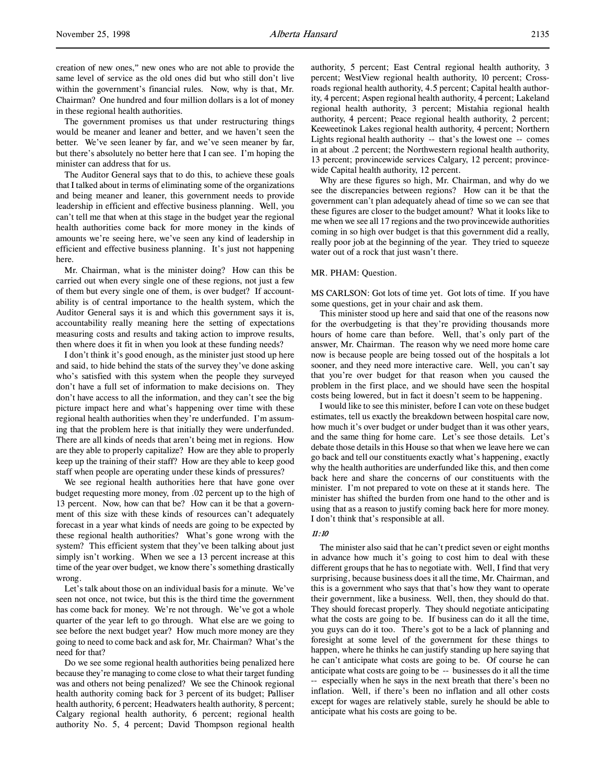creation of new ones," new ones who are not able to provide the same level of service as the old ones did but who still don't live within the government's financial rules. Now, why is that, Mr. Chairman? One hundred and four million dollars is a lot of money in these regional health authorities.

The government promises us that under restructuring things would be meaner and leaner and better, and we haven't seen the better. We've seen leaner by far, and we've seen meaner by far, but there's absolutely no better here that I can see. I'm hoping the minister can address that for us.

The Auditor General says that to do this, to achieve these goals that I talked about in terms of eliminating some of the organizations and being meaner and leaner, this government needs to provide leadership in efficient and effective business planning. Well, you can't tell me that when at this stage in the budget year the regional health authorities come back for more money in the kinds of amounts we're seeing here, we've seen any kind of leadership in efficient and effective business planning. It's just not happening here.

Mr. Chairman, what is the minister doing? How can this be carried out when every single one of these regions, not just a few of them but every single one of them, is over budget? If accountability is of central importance to the health system, which the Auditor General says it is and which this government says it is, accountability really meaning here the setting of expectations measuring costs and results and taking action to improve results, then where does it fit in when you look at these funding needs?

I don't think it's good enough, as the minister just stood up here and said, to hide behind the stats of the survey they've done asking who's satisfied with this system when the people they surveyed don't have a full set of information to make decisions on. They don't have access to all the information, and they can't see the big picture impact here and what's happening over time with these regional health authorities when they're underfunded. I'm assuming that the problem here is that initially they were underfunded. There are all kinds of needs that aren't being met in regions. How are they able to properly capitalize? How are they able to properly keep up the training of their staff? How are they able to keep good staff when people are operating under these kinds of pressures?

We see regional health authorities here that have gone over budget requesting more money, from .02 percent up to the high of 13 percent. Now, how can that be? How can it be that a government of this size with these kinds of resources can't adequately forecast in a year what kinds of needs are going to be expected by these regional health authorities? What's gone wrong with the system? This efficient system that they've been talking about just simply isn't working. When we see a 13 percent increase at this time of the year over budget, we know there's something drastically wrong.

Let's talk about those on an individual basis for a minute. We've seen not once, not twice, but this is the third time the government has come back for money. We're not through. We've got a whole quarter of the year left to go through. What else are we going to see before the next budget year? How much more money are they going to need to come back and ask for, Mr. Chairman? What's the need for that?

Do we see some regional health authorities being penalized here because they're managing to come close to what their target funding was and others not being penalized? We see the Chinook regional health authority coming back for 3 percent of its budget; Palliser health authority, 6 percent; Headwaters health authority, 8 percent; Calgary regional health authority, 6 percent; regional health authority No. 5, 4 percent; David Thompson regional health

authority, 5 percent; East Central regional health authority, 3 percent; WestView regional health authority, 10 percent; Crossroads regional health authority, 4.5 percent; Capital health authority, 4 percent; Aspen regional health authority, 4 percent; Lakeland regional health authority, 3 percent; Mistahia regional health authority, 4 percent; Peace regional health authority, 2 percent; Keeweetinok Lakes regional health authority, 4 percent; Northern Lights regional health authority -- that's the lowest one -- comes in at about .2 percent; the Northwestern regional health authority, 13 percent; provincewide services Calgary, 12 percent; provincewide Capital health authority, 12 percent.

Why are these figures so high, Mr. Chairman, and why do we see the discrepancies between regions? How can it be that the government can't plan adequately ahead of time so we can see that these figures are closer to the budget amount? What it looks like to me when we see all 17 regions and the two provincewide authorities coming in so high over budget is that this government did a really, really poor job at the beginning of the year. They tried to squeeze water out of a rock that just wasn't there.

#### MR. PHAM: Question.

MS CARLSON: Got lots of time yet. Got lots of time. If you have some questions, get in your chair and ask them.

This minister stood up here and said that one of the reasons now for the overbudgeting is that they're providing thousands more hours of home care than before. Well, that's only part of the answer, Mr. Chairman. The reason why we need more home care now is because people are being tossed out of the hospitals a lot sooner, and they need more interactive care. Well, you can't say that you're over budget for that reason when you caused the problem in the first place, and we should have seen the hospital costs being lowered, but in fact it doesn't seem to be happening.

I would like to see this minister, before I can vote on these budget estimates, tell us exactly the breakdown between hospital care now, how much it's over budget or under budget than it was other years, and the same thing for home care. Let's see those details. Let's debate those details in this House so that when we leave here we can go back and tell our constituents exactly what's happening, exactly why the health authorities are underfunded like this, and then come back here and share the concerns of our constituents with the minister. I'm not prepared to vote on these at it stands here. The minister has shifted the burden from one hand to the other and is using that as a reason to justify coming back here for more money. I don't think that's responsible at all.

#### 11:10

The minister also said that he can't predict seven or eight months in advance how much it's going to cost him to deal with these different groups that he has to negotiate with. Well, I find that very surprising, because business does it all the time, Mr. Chairman, and this is a government who says that that's how they want to operate their government, like a business. Well, then, they should do that. They should forecast properly. They should negotiate anticipating what the costs are going to be. If business can do it all the time, you guys can do it too. There's got to be a lack of planning and foresight at some level of the government for these things to happen, where he thinks he can justify standing up here saying that he can't anticipate what costs are going to be. Of course he can anticipate what costs are going to be -- businesses do it all the time -- especially when he says in the next breath that there's been no inflation. Well, if there's been no inflation and all other costs except for wages are relatively stable, surely he should be able to anticipate what his costs are going to be.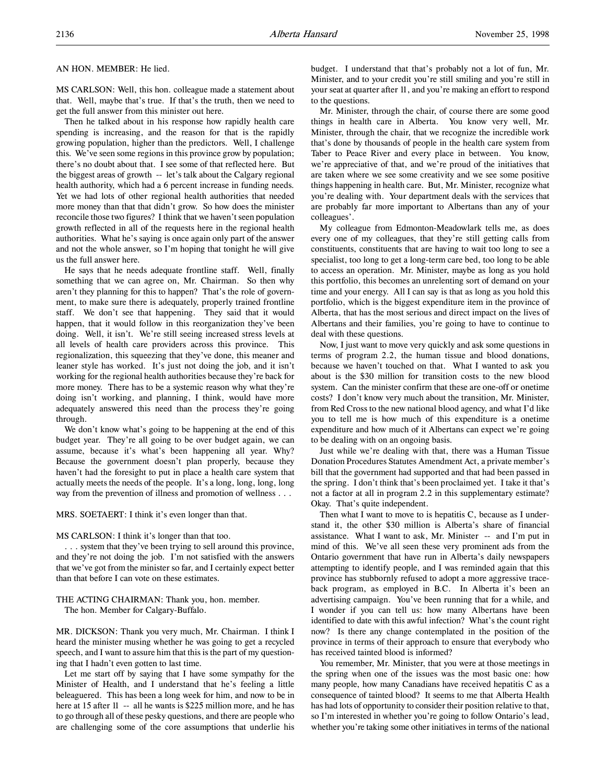#### AN HON. MEMBER: He lied.

MS CARLSON: Well, this hon. colleague made a statement about that. Well, maybe that's true. If that's the truth, then we need to get the full answer from this minister out here.

Then he talked about in his response how rapidly health care spending is increasing, and the reason for that is the rapidly growing population, higher than the predictors. Well, I challenge this. We've seen some regions in this province grow by population; there's no doubt about that. I see some of that reflected here. But the biggest areas of growth -- let's talk about the Calgary regional health authority, which had a 6 percent increase in funding needs. Yet we had lots of other regional health authorities that needed more money than that that didn't grow. So how does the minister reconcile those two figures? I think that we haven't seen population growth reflected in all of the requests here in the regional health authorities. What he's saying is once again only part of the answer and not the whole answer, so I'm hoping that tonight he will give us the full answer here.

He says that he needs adequate frontline staff. Well, finally something that we can agree on, Mr. Chairman. So then why aren't they planning for this to happen? That's the role of government, to make sure there is adequately, properly trained frontline staff. We don't see that happening. They said that it would happen, that it would follow in this reorganization they've been doing. Well, it isn't. We're still seeing increased stress levels at all levels of health care providers across this province. This regionalization, this squeezing that they've done, this meaner and leaner style has worked. It's just not doing the job, and it isn't working for the regional health authorities because they're back for more money. There has to be a systemic reason why what they're doing isn't working, and planning, I think, would have more adequately answered this need than the process they're going through.

We don't know what's going to be happening at the end of this budget year. They're all going to be over budget again, we can assume, because it's what's been happening all year. Why? Because the government doesn't plan properly, because they haven't had the foresight to put in place a health care system that actually meets the needs of the people. It's a long, long, long, long way from the prevention of illness and promotion of wellness . . .

MRS. SOETAERT: I think it's even longer than that.

#### MS CARLSON: I think it's longer than that too.

. . . system that they've been trying to sell around this province, and they're not doing the job. I'm not satisfied with the answers that we've got from the minister so far, and I certainly expect better than that before I can vote on these estimates.

## THE ACTING CHAIRMAN: Thank you, hon. member. The hon. Member for Calgary-Buffalo.

MR. DICKSON: Thank you very much, Mr. Chairman. I think I heard the minister musing whether he was going to get a recycled speech, and I want to assure him that this is the part of my questioning that I hadn't even gotten to last time.

Let me start off by saying that I have some sympathy for the Minister of Health, and I understand that he's feeling a little beleaguered. This has been a long week for him, and now to be in here at 15 after 11 -- all he wants is \$225 million more, and he has to go through all of these pesky questions, and there are people who are challenging some of the core assumptions that underlie his

budget. I understand that that's probably not a lot of fun, Mr. Minister, and to your credit you're still smiling and you're still in your seat at quarter after 11, and you're making an effort to respond to the questions.

Mr. Minister, through the chair, of course there are some good things in health care in Alberta. You know very well, Mr. Minister, through the chair, that we recognize the incredible work that's done by thousands of people in the health care system from Taber to Peace River and every place in between. You know, we're appreciative of that, and we're proud of the initiatives that are taken where we see some creativity and we see some positive things happening in health care. But, Mr. Minister, recognize what you're dealing with. Your department deals with the services that are probably far more important to Albertans than any of your colleagues'.

My colleague from Edmonton-Meadowlark tells me, as does every one of my colleagues, that they're still getting calls from constituents, constituents that are having to wait too long to see a specialist, too long to get a long-term care bed, too long to be able to access an operation. Mr. Minister, maybe as long as you hold this portfolio, this becomes an unrelenting sort of demand on your time and your energy. All I can say is that as long as you hold this portfolio, which is the biggest expenditure item in the province of Alberta, that has the most serious and direct impact on the lives of Albertans and their families, you're going to have to continue to deal with these questions.

Now, I just want to move very quickly and ask some questions in terms of program 2.2, the human tissue and blood donations, because we haven't touched on that. What I wanted to ask you about is the \$30 million for transition costs to the new blood system. Can the minister confirm that these are one-off or onetime costs? I don't know very much about the transition, Mr. Minister, from Red Cross to the new national blood agency, and what I'd like you to tell me is how much of this expenditure is a onetime expenditure and how much of it Albertans can expect we're going to be dealing with on an ongoing basis.

Just while we're dealing with that, there was a Human Tissue Donation Procedures Statutes Amendment Act, a private member's bill that the government had supported and that had been passed in the spring. I don't think that's been proclaimed yet. I take it that's not a factor at all in program 2.2 in this supplementary estimate? Okay. That's quite independent.

Then what I want to move to is hepatitis C, because as I understand it, the other \$30 million is Alberta's share of financial assistance. What I want to ask, Mr. Minister -- and I'm put in mind of this. We've all seen these very prominent ads from the Ontario government that have run in Alberta's daily newspapers attempting to identify people, and I was reminded again that this province has stubbornly refused to adopt a more aggressive traceback program, as employed in B.C. In Alberta it's been an advertising campaign. You've been running that for a while, and I wonder if you can tell us: how many Albertans have been identified to date with this awful infection? What's the count right now? Is there any change contemplated in the position of the province in terms of their approach to ensure that everybody who has received tainted blood is informed?

You remember, Mr. Minister, that you were at those meetings in the spring when one of the issues was the most basic one: how many people, how many Canadians have received hepatitis C as a consequence of tainted blood? It seems to me that Alberta Health has had lots of opportunity to consider their position relative to that, so I'm interested in whether you're going to follow Ontario's lead, whether you're taking some other initiatives in terms of the national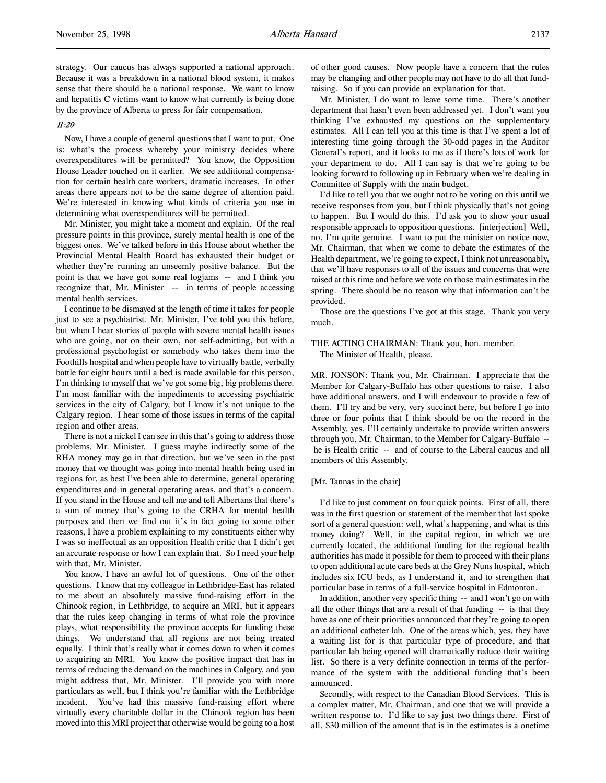strategy. Our caucus has always supported a national approach. Because it was a breakdown in a national blood system, it makes sense that there should be a national response. We want to know and hepatitis C victims want to know what currently is being done by the province of Alberta to press for fair compensation.

# 11:20

Now, I have a couple of general questions that I want to put. One is: what's the process whereby your ministry decides where overexpenditures will be permitted? You know, the Opposition House Leader touched on it earlier. We see additional compensation for certain health care workers, dramatic increases. In other areas there appears not to be the same degree of attention paid. We're interested in knowing what kinds of criteria you use in determining what overexpenditures will be permitted.

Mr. Minister, you might take a moment and explain. Of the real pressure points in this province, surely mental health is one of the biggest ones. We've talked before in this House about whether the Provincial Mental Health Board has exhausted their budget or whether they're running an unseemly positive balance. But the point is that we have got some real logjams -- and I think you recognize that, Mr. Minister -- in terms of people accessing mental health services.

I continue to be dismayed at the length of time it takes for people just to see a psychiatrist. Mr. Minister, I've told you this before, but when I hear stories of people with severe mental health issues who are going, not on their own, not self-admitting, but with a professional psychologist or somebody who takes them into the Foothills hospital and when people have to virtually battle, verbally battle for eight hours until a bed is made available for this person, I'm thinking to myself that we've got some big, big problems there. I'm most familiar with the impediments to accessing psychiatric services in the city of Calgary, but I know it's not unique to the Calgary region. I hear some of those issues in terms of the capital region and other areas.

There is not a nickel I can see in this that's going to address those problems, Mr. Minister. I guess maybe indirectly some of the RHA money may go in that direction, but we've seen in the past money that we thought was going into mental health being used in regions for, as best I've been able to determine, general operating expenditures and in general operating areas, and that's a concern. If you stand in the House and tell me and tell Albertans that there's a sum of money that's going to the CRHA for mental health purposes and then we find out it's in fact going to some other reasons, I have a problem explaining to my constituents either why I was so ineffectual as an opposition Health critic that I didn't get an accurate response or how I can explain that. So I need your help with that, Mr. Minister.

You know, I have an awful lot of questions. One of the other questions. I know that my colleague in Lethbridge-East has related to me about an absolutely massive fund-raising effort in the Chinook region, in Lethbridge, to acquire an MRI, but it appears that the rules keep changing in terms of what role the province plays, what responsibility the province accepts for funding these things. We understand that all regions are not being treated equally. I think that's really what it comes down to when it comes to acquiring an MRI. You know the positive impact that has in terms of reducing the demand on the machines in Calgary, and you might address that, Mr. Minister. I'll provide you with more particulars as well, but I think you're familiar with the Lethbridge incident. You've had this massive fund-raising effort where virtually every charitable dollar in the Chinook region has been moved into this MRI project that otherwise would be going to a host of other good causes. Now people have a concern that the rules may be changing and other people may not have to do all that fundraising. So if you can provide an explanation for that.

Mr. Minister, I do want to leave some time. There's another department that hasn't even been addressed yet. I don't want you thinking I've exhausted my questions on the supplementary estimates. All I can tell you at this time is that I've spent a lot of interesting time going through the 30-odd pages in the Auditor General's report, and it looks to me as if there's lots of work for your department to do. All I can say is that we're going to be looking forward to following up in February when we're dealing in Committee of Supply with the main budget.

I'd like to tell you that we ought not to be voting on this until we receive responses from you, but I think physically that's not going to happen. But I would do this. I'd ask you to show your usual responsible approach to opposition questions. [interjection] Well, no, I'm quite genuine. I want to put the minister on notice now, Mr. Chairman, that when we come to debate the estimates of the Health department, we're going to expect, I think not unreasonably, that we'll have responses to all of the issues and concerns that were raised at this time and before we vote on those main estimates in the spring. There should be no reason why that information can't be provided.

Those are the questions I've got at this stage. Thank you very much.

# THE ACTING CHAIRMAN: Thank you, hon. member. The Minister of Health, please.

MR. JONSON: Thank you, Mr. Chairman. I appreciate that the Member for Calgary-Buffalo has other questions to raise. I also have additional answers, and I will endeavour to provide a few of them. I'll try and be very, very succinct here, but before I go into three or four points that I think should be on the record in the Assembly, yes, I'll certainly undertake to provide written answers through you, Mr. Chairman, to the Member for Calgary-Buffalo - he is Health critic -- and of course to the Liberal caucus and all members of this Assembly.

#### [Mr. Tannas in the chair]

I'd like to just comment on four quick points. First of all, there was in the first question or statement of the member that last spoke sort of a general question: well, what's happening, and what is this money doing? Well, in the capital region, in which we are currently located, the additional funding for the regional health authorities has made it possible for them to proceed with their plans to open additional acute care beds at the Grey Nuns hospital, which includes six ICU beds, as I understand it, and to strengthen that particular base in terms of a full-service hospital in Edmonton.

In addition, another very specific thing -- and I won't go on with all the other things that are a result of that funding -- is that they have as one of their priorities announced that they're going to open an additional catheter lab. One of the areas which, yes, they have a waiting list for is that particular type of procedure, and that particular lab being opened will dramatically reduce their waiting list. So there is a very definite connection in terms of the performance of the system with the additional funding that's been announced.

Secondly, with respect to the Canadian Blood Services. This is a complex matter, Mr. Chairman, and one that we will provide a written response to. I'd like to say just two things there. First of all, \$30 million of the amount that is in the estimates is a onetime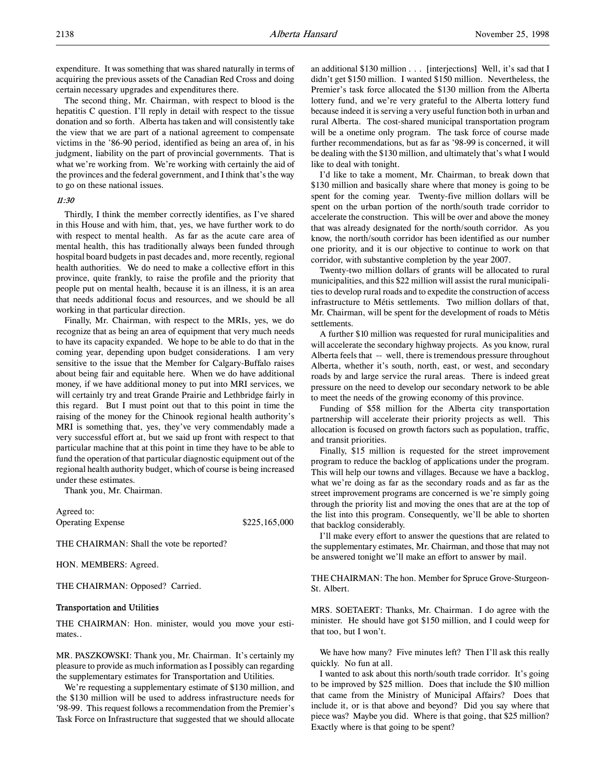expenditure. It was something that was shared naturally in terms of acquiring the previous assets of the Canadian Red Cross and doing certain necessary upgrades and expenditures there.

The second thing, Mr. Chairman, with respect to blood is the hepatitis C question. I'll reply in detail with respect to the tissue donation and so forth. Alberta has taken and will consistently take the view that we are part of a national agreement to compensate victims in the '86-90 period, identified as being an area of, in his judgment, liability on the part of provincial governments. That is what we're working from. We're working with certainly the aid of the provinces and the federal government, and I think that's the way to go on these national issues.

# 11:30

Thirdly, I think the member correctly identifies, as I've shared in this House and with him, that, yes, we have further work to do with respect to mental health. As far as the acute care area of mental health, this has traditionally always been funded through hospital board budgets in past decades and, more recently, regional health authorities. We do need to make a collective effort in this province, quite frankly, to raise the profile and the priority that people put on mental health, because it is an illness, it is an area that needs additional focus and resources, and we should be all working in that particular direction.

Finally, Mr. Chairman, with respect to the MRIs, yes, we do recognize that as being an area of equipment that very much needs to have its capacity expanded. We hope to be able to do that in the coming year, depending upon budget considerations. I am very sensitive to the issue that the Member for Calgary-Buffalo raises about being fair and equitable here. When we do have additional money, if we have additional money to put into MRI services, we will certainly try and treat Grande Prairie and Lethbridge fairly in this regard. But I must point out that to this point in time the raising of the money for the Chinook regional health authority's MRI is something that, yes, they've very commendably made a very successful effort at, but we said up front with respect to that particular machine that at this point in time they have to be able to fund the operation of that particular diagnostic equipment out of the regional health authority budget, which of course is being increased under these estimates.

Thank you, Mr. Chairman.

Agreed to: Operating Expense \$225,165,000

THE CHAIRMAN: Shall the vote be reported?

HON. MEMBERS: Agreed.

THE CHAIRMAN: Opposed? Carried.

# Transportation and Utilities

THE CHAIRMAN: Hon. minister, would you move your estimates..

MR. PASZKOWSKI: Thank you, Mr. Chairman. It's certainly my pleasure to provide as much information as I possibly can regarding the supplementary estimates for Transportation and Utilities.

We're requesting a supplementary estimate of \$130 million, and the \$130 million will be used to address infrastructure needs for '98-99. This request follows a recommendation from the Premier's Task Force on Infrastructure that suggested that we should allocate

an additional \$130 million . . . [interjections] Well, it's sad that I didn't get \$150 million. I wanted \$150 million. Nevertheless, the Premier's task force allocated the \$130 million from the Alberta lottery fund, and we're very grateful to the Alberta lottery fund because indeed it is serving a very useful function both in urban and rural Alberta. The cost-shared municipal transportation program will be a onetime only program. The task force of course made further recommendations, but as far as '98-99 is concerned, it will be dealing with the \$130 million, and ultimately that's what I would like to deal with tonight.

I'd like to take a moment, Mr. Chairman, to break down that \$130 million and basically share where that money is going to be spent for the coming year. Twenty-five million dollars will be spent on the urban portion of the north/south trade corridor to accelerate the construction. This will be over and above the money that was already designated for the north/south corridor. As you know, the north/south corridor has been identified as our number one priority, and it is our objective to continue to work on that corridor, with substantive completion by the year 2007.

Twenty-two million dollars of grants will be allocated to rural municipalities, and this \$22 million will assist the rural municipalities to develop rural roads and to expedite the construction of access infrastructure to Métis settlements. Two million dollars of that, Mr. Chairman, will be spent for the development of roads to Métis settlements.

A further \$10 million was requested for rural municipalities and will accelerate the secondary highway projects. As you know, rural Alberta feels that -- well, there is tremendous pressure throughout Alberta, whether it's south, north, east, or west, and secondary roads by and large service the rural areas. There is indeed great pressure on the need to develop our secondary network to be able to meet the needs of the growing economy of this province.

Funding of \$58 million for the Alberta city transportation partnership will accelerate their priority projects as well. This allocation is focused on growth factors such as population, traffic, and transit priorities.

Finally, \$15 million is requested for the street improvement program to reduce the backlog of applications under the program. This will help our towns and villages. Because we have a backlog, what we're doing as far as the secondary roads and as far as the street improvement programs are concerned is we're simply going through the priority list and moving the ones that are at the top of the list into this program. Consequently, we'll be able to shorten that backlog considerably.

I'll make every effort to answer the questions that are related to the supplementary estimates, Mr. Chairman, and those that may not be answered tonight we'll make an effort to answer by mail.

THE CHAIRMAN: The hon. Member for Spruce Grove-Sturgeon-St. Albert.

MRS. SOETAERT: Thanks, Mr. Chairman. I do agree with the minister. He should have got \$150 million, and I could weep for that too, but I won't.

We have how many? Five minutes left? Then I'll ask this really quickly. No fun at all.

I wanted to ask about this north/south trade corridor. It's going to be improved by \$25 million. Does that include the \$10 million that came from the Ministry of Municipal Affairs? Does that include it, or is that above and beyond? Did you say where that piece was? Maybe you did. Where is that going, that \$25 million? Exactly where is that going to be spent?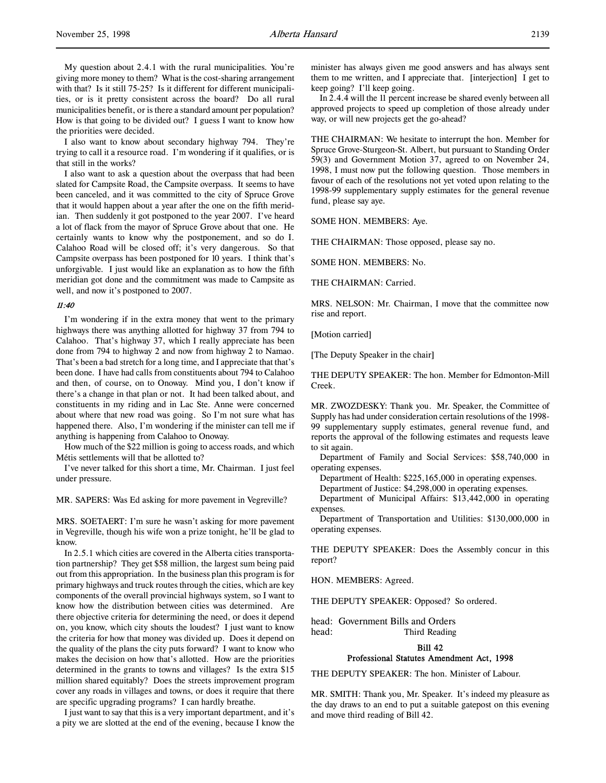My question about 2.4.1 with the rural municipalities. You're giving more money to them? What is the cost-sharing arrangement with that? Is it still 75-25? Is it different for different municipalities, or is it pretty consistent across the board? Do all rural municipalities benefit, or is there a standard amount per population? How is that going to be divided out? I guess I want to know how the priorities were decided.

I also want to know about secondary highway 794. They're trying to call it a resource road. I'm wondering if it qualifies, or is that still in the works?

I also want to ask a question about the overpass that had been slated for Campsite Road, the Campsite overpass. It seems to have been canceled, and it was committed to the city of Spruce Grove that it would happen about a year after the one on the fifth meridian. Then suddenly it got postponed to the year 2007. I've heard a lot of flack from the mayor of Spruce Grove about that one. He certainly wants to know why the postponement, and so do I. Calahoo Road will be closed off; it's very dangerous. So that Campsite overpass has been postponed for 10 years. I think that's unforgivable. I just would like an explanation as to how the fifth meridian got done and the commitment was made to Campsite as well, and now it's postponed to 2007.

#### 11:40

I'm wondering if in the extra money that went to the primary highways there was anything allotted for highway 37 from 794 to Calahoo. That's highway 37, which I really appreciate has been done from 794 to highway 2 and now from highway 2 to Namao. That's been a bad stretch for a long time, and I appreciate that that's been done. I have had calls from constituents about 794 to Calahoo and then, of course, on to Onoway. Mind you, I don't know if there's a change in that plan or not. It had been talked about, and constituents in my riding and in Lac Ste. Anne were concerned about where that new road was going. So I'm not sure what has happened there. Also, I'm wondering if the minister can tell me if anything is happening from Calahoo to Onoway.

How much of the \$22 million is going to access roads, and which Métis settlements will that be allotted to?

I've never talked for this short a time, Mr. Chairman. I just feel under pressure.

MR. SAPERS: Was Ed asking for more pavement in Vegreville?

MRS. SOETAERT: I'm sure he wasn't asking for more pavement in Vegreville, though his wife won a prize tonight, he'll be glad to know.

In 2.5.1 which cities are covered in the Alberta cities transportation partnership? They get \$58 million, the largest sum being paid out from this appropriation. In the business plan this program is for primary highways and truck routes through the cities, which are key components of the overall provincial highways system, so I want to know how the distribution between cities was determined. Are there objective criteria for determining the need, or does it depend on, you know, which city shouts the loudest? I just want to know the criteria for how that money was divided up. Does it depend on the quality of the plans the city puts forward? I want to know who makes the decision on how that's allotted. How are the priorities determined in the grants to towns and villages? Is the extra \$15 million shared equitably? Does the streets improvement program cover any roads in villages and towns, or does it require that there are specific upgrading programs? I can hardly breathe.

I just want to say that this is a very important department, and it's a pity we are slotted at the end of the evening, because I know the

minister has always given me good answers and has always sent them to me written, and I appreciate that. [interjection] I get to keep going? I'll keep going.

In 2.4.4 will the 11 percent increase be shared evenly between all approved projects to speed up completion of those already under way, or will new projects get the go-ahead?

THE CHAIRMAN: We hesitate to interrupt the hon. Member for Spruce Grove-Sturgeon-St. Albert, but pursuant to Standing Order 59(3) and Government Motion 37, agreed to on November 24, 1998, I must now put the following question. Those members in favour of each of the resolutions not yet voted upon relating to the 1998-99 supplementary supply estimates for the general revenue fund, please say aye.

SOME HON. MEMBERS: Aye.

THE CHAIRMAN: Those opposed, please say no.

SOME HON. MEMBERS: No.

THE CHAIRMAN: Carried.

MRS. NELSON: Mr. Chairman, I move that the committee now rise and report.

[Motion carried]

[The Deputy Speaker in the chair]

THE DEPUTY SPEAKER: The hon. Member for Edmonton-Mill Creek.

MR. ZWOZDESKY: Thank you. Mr. Speaker, the Committee of Supply has had under consideration certain resolutions of the 1998- 99 supplementary supply estimates, general revenue fund, and reports the approval of the following estimates and requests leave to sit again.

Department of Family and Social Services: \$58,740,000 in operating expenses.

Department of Health: \$225,165,000 in operating expenses.

Department of Justice: \$4,298,000 in operating expenses.

Department of Municipal Affairs: \$13,442,000 in operating expenses.

Department of Transportation and Utilities: \$130,000,000 in operating expenses.

THE DEPUTY SPEAKER: Does the Assembly concur in this report?

HON. MEMBERS: Agreed.

THE DEPUTY SPEAKER: Opposed? So ordered.

head: Government Bills and Orders head: Third Reading

### Bill 42

# Professional Statutes Amendment Act, 1998

THE DEPUTY SPEAKER: The hon. Minister of Labour.

MR. SMITH: Thank you, Mr. Speaker. It's indeed my pleasure as the day draws to an end to put a suitable gatepost on this evening and move third reading of Bill 42.